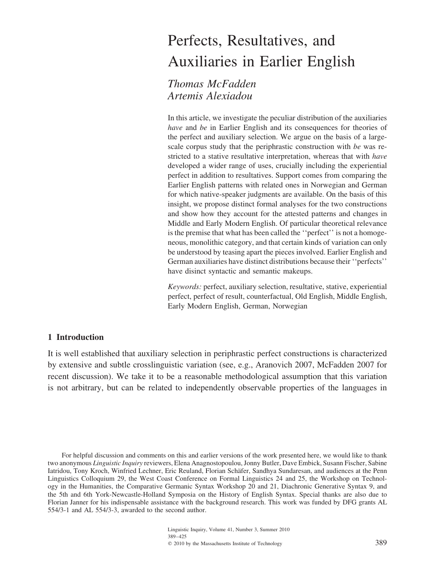# Perfects, Resultatives, and Auxiliaries in Earlier English

*Thomas McFadden Artemis Alexiadou*

In this article, we investigate the peculiar distribution of the auxiliaries *have* and *be* in Earlier English and its consequences for theories of the perfect and auxiliary selection. We argue on the basis of a largescale corpus study that the periphrastic construction with *be* was restricted to a stative resultative interpretation, whereas that with *have* developed a wider range of uses, crucially including the experiential perfect in addition to resultatives. Support comes from comparing the Earlier English patterns with related ones in Norwegian and German for which native-speaker judgments are available. On the basis of this insight, we propose distinct formal analyses for the two constructions and show how they account for the attested patterns and changes in Middle and Early Modern English. Of particular theoretical relevance is the premise that what has been called the ''perfect'' is not a homogeneous, monolithic category, and that certain kinds of variation can only be understood by teasing apart the pieces involved. Earlier English and German auxiliaries have distinct distributions because their ''perfects'' have disinct syntactic and semantic makeups.

*Keywords:* perfect, auxiliary selection, resultative, stative, experiential perfect, perfect of result, counterfactual, Old English, Middle English, Early Modern English, German, Norwegian

## **1 Introduction**

It is well established that auxiliary selection in periphrastic perfect constructions is characterized by extensive and subtle crosslinguistic variation (see, e.g., Aranovich 2007, McFadden 2007 for recent discussion). We take it to be a reasonable methodological assumption that this variation is not arbitrary, but can be related to independently observable properties of the languages in

For helpful discussion and comments on this and earlier versions of the work presented here, we would like to thank two anonymous *Linguistic Inquiry* reviewers, Elena Anagnostopoulou, Jonny Butler, Dave Embick, Susann Fischer, Sabine Iatridou, Tony Kroch, Winfried Lechner, Eric Reuland, Florian Schäfer, Sandhya Sundaresan, and audiences at the Penn Linguistics Colloquium 29, the West Coast Conference on Formal Linguistics 24 and 25, the Workshop on Technology in the Humanities, the Comparative Germanic Syntax Workshop 20 and 21, Diachronic Generative Syntax 9, and the 5th and 6th York-Newcastle-Holland Symposia on the History of English Syntax. Special thanks are also due to Florian Janner for his indispensable assistance with the background research. This work was funded by DFG grants AL 554/3-1 and AL 554/3-3, awarded to the second author.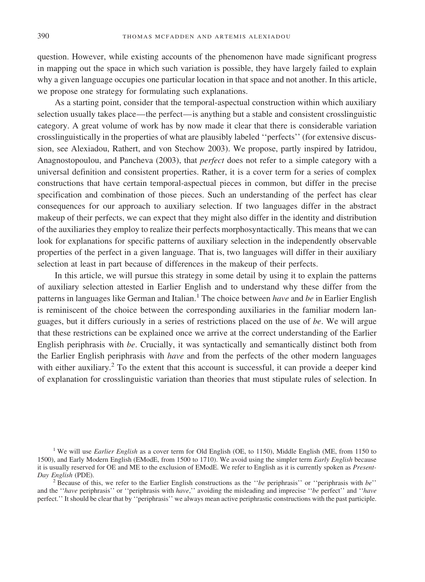question. However, while existing accounts of the phenomenon have made significant progress in mapping out the space in which such variation is possible, they have largely failed to explain why a given language occupies one particular location in that space and not another. In this article, we propose one strategy for formulating such explanations.

As a starting point, consider that the temporal-aspectual construction within which auxiliary selection usually takes place—the perfect—is anything but a stable and consistent crosslinguistic category. A great volume of work has by now made it clear that there is considerable variation crosslinguistically in the properties of what are plausibly labeled ''perfects'' (for extensive discussion, see Alexiadou, Rathert, and von Stechow 2003). We propose, partly inspired by Iatridou, Anagnostopoulou, and Pancheva (2003), that *perfect* does not refer to a simple category with a universal definition and consistent properties. Rather, it is a cover term for a series of complex constructions that have certain temporal-aspectual pieces in common, but differ in the precise specification and combination of those pieces. Such an understanding of the perfect has clear consequences for our approach to auxiliary selection. If two languages differ in the abstract makeup of their perfects, we can expect that they might also differ in the identity and distribution of the auxiliaries they employ to realize their perfects morphosyntactically. This means that we can look for explanations for specific patterns of auxiliary selection in the independently observable properties of the perfect in a given language. That is, two languages will differ in their auxiliary selection at least in part because of differences in the makeup of their perfects.

In this article, we will pursue this strategy in some detail by using it to explain the patterns of auxiliary selection attested in Earlier English and to understand why these differ from the patterns in languages like German and Italian.<sup>1</sup> The choice between *have* and *be* in Earlier English is reminiscent of the choice between the corresponding auxiliaries in the familiar modern languages, but it differs curiously in a series of restrictions placed on the use of *be*. We will argue that these restrictions can be explained once we arrive at the correct understanding of the Earlier English periphrasis with *be*. Crucially, it was syntactically and semantically distinct both from the Earlier English periphrasis with *have* and from the perfects of the other modern languages with either auxiliary.<sup>2</sup> To the extent that this account is successful, it can provide a deeper kind of explanation for crosslinguistic variation than theories that must stipulate rules of selection. In

and the ''*have* periphrasis'' or ''periphrasis with *have*,'' avoiding the misleading and imprecise ''*be* perfect'' and ''*have* perfect.'' It should be clear that by ''periphrasis'' we always mean active periphrastic constructions with the past participle.

<sup>&</sup>lt;sup>1</sup> We will use *Earlier English* as a cover term for Old English (OE, to 1150), Middle English (ME, from 1150 to 1500), and Early Modern English (EModE, from 1500 to 1710). We avoid using the simpler term *Early English* because it is usually reserved for OE and ME to the exclusion of EModE. We refer to English as it is currently spoken as *Present-Day English* (PDE). <sup>2</sup> Because of this, we refer to the Earlier English constructions as the ''*be* periphrasis'' or ''periphrasis with *be*''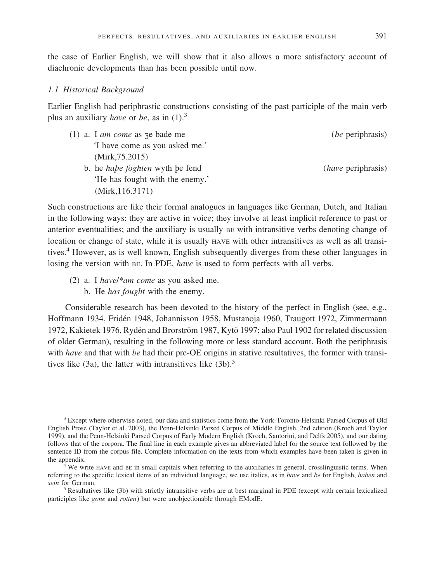the case of Earlier English, we will show that it also allows a more satisfactory account of diachronic developments than has been possible until now.

### *1.1 Historical Background*

Earlier English had periphrastic constructions consisting of the past participle of the main verb plus an auxiliary *have* or *be*, as in (1).<sup>3</sup>

(1) a. I *am come* as Çe bade me (*be* periphrasis) 'I have come as you asked me.' (Mirk,75.2015) b. he *haÈe foghten* wyth Èe fend (*have* periphrasis) 'He has fought with the enemy.' (Mirk,116.3171)

Such constructions are like their formal analogues in languages like German, Dutch, and Italian in the following ways: they are active in voice; they involve at least implicit reference to past or anterior eventualities; and the auxiliary is usually BE with intransitive verbs denoting change of location or change of state, while it is usually HAVE with other intransitives as well as all transitives.<sup>4</sup> However, as is well known, English subsequently diverges from these other languages in losing the version with BE. In PDE, *have* is used to form perfects with all verbs.

(2) a. I *have*/*\*am come* as you asked me. b. He *has fought* with the enemy.

Considerable research has been devoted to the history of the perfect in English (see, e.g., Hoffmann 1934, Fridén 1948, Johannisson 1958, Mustanoja 1960, Traugott 1972, Zimmermann 1972, Kakietek 1976, Rydén and Brorström 1987, Kytö 1997; also Paul 1902 for related discussion of older German), resulting in the following more or less standard account. Both the periphrasis with *have* and that with *be* had their pre-OE origins in stative resultatives, the former with transitives like  $(3a)$ , the latter with intransitives like  $(3b)$ .<sup>5</sup>

<sup>3</sup> Except where otherwise noted, our data and statistics come from the York-Toronto-Helsinki Parsed Corpus of Old English Prose (Taylor et al. 2003), the Penn-Helsinki Parsed Corpus of Middle English, 2nd edition (Kroch and Taylor 1999), and the Penn-Helsinki Parsed Corpus of Early Modern English (Kroch, Santorini, and Delfs 2005), and our dating follows that of the corpora. The final line in each example gives an abbreviated label for the source text followed by the sentence ID from the corpus file. Complete information on the texts from which examples have been taken is given in the appendix. <sup>4</sup> We write HAVE and BE in small capitals when referring to the auxiliaries in general, crosslinguistic terms. When

referring to the specific lexical items of an individual language, we use italics, as in *have* and *be* for English, *haben* and *sein* for German.

<sup>5</sup> Resultatives like (3b) with strictly intransitive verbs are at best marginal in PDE (except with certain lexicalized participles like *gone* and *rotten*) but were unobjectionable through EModE.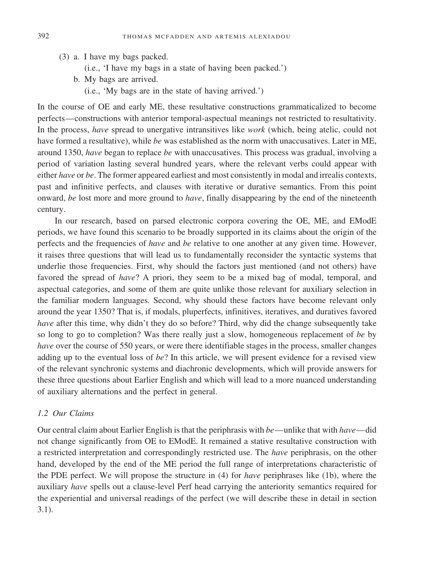- (3) a. I have my bags packed.
	- (i.e., 'I have my bags in a state of having been packed.')
	- b. My bags are arrived.
		- (i.e., 'My bags are in the state of having arrived.')

In the course of OE and early ME, these resultative constructions grammaticalized to become perfects—constructions with anterior temporal-aspectual meanings not restricted to resultativity. In the process, *have* spread to unergative intransitives like *work* (which, being atelic, could not have formed a resultative), while *be* was established as the norm with unaccusatives. Later in ME, around 1350, *have* began to replace *be* with unaccusatives. This process was gradual, involving a period of variation lasting several hundred years, where the relevant verbs could appear with either *have* or *be*. The former appeared earliest and most consistently in modal and irrealis contexts, past and infinitive perfects, and clauses with iterative or durative semantics. From this point onward, *be* lost more and more ground to *have*, finally disappearing by the end of the nineteenth century.

In our research, based on parsed electronic corpora covering the OE, ME, and EModE periods, we have found this scenario to be broadly supported in its claims about the origin of the perfects and the frequencies of *have* and *be* relative to one another at any given time. However, it raises three questions that will lead us to fundamentally reconsider the syntactic systems that underlie those frequencies. First, why should the factors just mentioned (and not others) have favored the spread of *have*? A priori, they seem to be a mixed bag of modal, temporal, and aspectual categories, and some of them are quite unlike those relevant for auxiliary selection in the familiar modern languages. Second, why should these factors have become relevant only around the year 1350? That is, if modals, pluperfects, infinitives, iteratives, and duratives favored *have* after this time, why didn't they do so before? Third, why did the change subsequently take so long to go to completion? Was there really just a slow, homogeneous replacement of *be* by *have* over the course of 550 years, or were there identifiable stages in the process, smaller changes adding up to the eventual loss of *be*? In this article, we will present evidence for a revised view of the relevant synchronic systems and diachronic developments, which will provide answers for these three questions about Earlier English and which will lead to a more nuanced understanding of auxiliary alternations and the perfect in general.

#### *1.2 Our Claims*

Our central claim about Earlier English is that the periphrasis with *be*—unlike that with *have*—did not change significantly from OE to EModE. It remained a stative resultative construction with a restricted interpretation and correspondingly restricted use. The *have* periphrasis, on the other hand, developed by the end of the ME period the full range of interpretations characteristic of the PDE perfect. We will propose the structure in (4) for *have* periphrases like (1b), where the auxiliary *have* spells out a clause-level Perf head carrying the anteriority semantics required for the experiential and universal readings of the perfect (we will describe these in detail in section 3.1).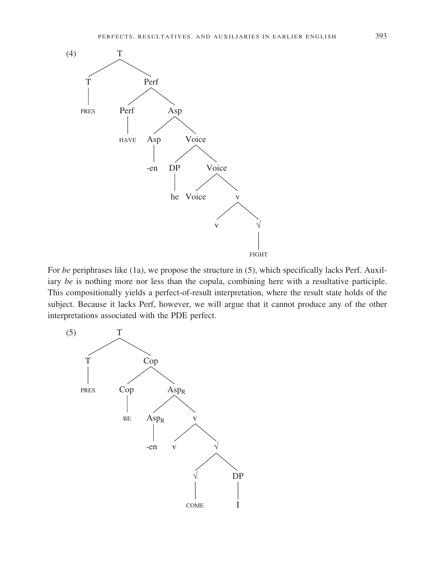

For *be* periphrases like (1a), we propose the structure in (5), which specifically lacks Perf. Auxiliary *be* is nothing more nor less than the copula, combining here with a resultative participle. This compositionally yields a perfect-of-result interpretation, where the result state holds of the subject. Because it lacks Perf, however, we will argue that it cannot produce any of the other interpretations associated with the PDE perfect.

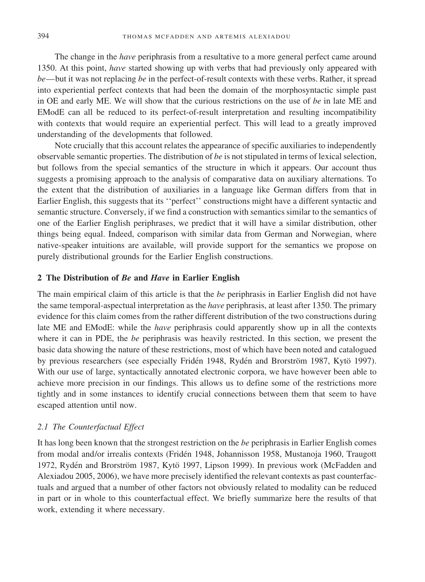The change in the *have* periphrasis from a resultative to a more general perfect came around 1350. At this point, *have* started showing up with verbs that had previously only appeared with *be*—but it was not replacing *be* in the perfect-of-result contexts with these verbs. Rather, it spread into experiential perfect contexts that had been the domain of the morphosyntactic simple past in OE and early ME. We will show that the curious restrictions on the use of *be* in late ME and EModE can all be reduced to its perfect-of-result interpretation and resulting incompatibility with contexts that would require an experiential perfect. This will lead to a greatly improved understanding of the developments that followed.

Note crucially that this account relates the appearance of specific auxiliaries to independently observable semantic properties. The distribution of *be* is not stipulated in terms of lexical selection, but follows from the special semantics of the structure in which it appears. Our account thus suggests a promising approach to the analysis of comparative data on auxiliary alternations. To the extent that the distribution of auxiliaries in a language like German differs from that in Earlier English, this suggests that its ''perfect'' constructions might have a different syntactic and semantic structure. Conversely, if we find a construction with semantics similar to the semantics of one of the Earlier English periphrases, we predict that it will have a similar distribution, other things being equal. Indeed, comparison with similar data from German and Norwegian, where native-speaker intuitions are available, will provide support for the semantics we propose on purely distributional grounds for the Earlier English constructions.

## **2 The Distribution of** *Be* **and** *Have* **in Earlier English**

The main empirical claim of this article is that the *be* periphrasis in Earlier English did not have the same temporal-aspectual interpretation as the *have* periphrasis, at least after 1350. The primary evidence for this claim comes from the rather different distribution of the two constructions during late ME and EModE: while the *have* periphrasis could apparently show up in all the contexts where it can in PDE, the *be* periphrasis was heavily restricted. In this section, we present the basic data showing the nature of these restrictions, most of which have been noted and catalogued by previous researchers (see especially Fridén 1948, Rydén and Brorström 1987, Kytö 1997). With our use of large, syntactically annotated electronic corpora, we have however been able to achieve more precision in our findings. This allows us to define some of the restrictions more tightly and in some instances to identify crucial connections between them that seem to have escaped attention until now.

#### *2.1 The Counterfactual Effect*

It has long been known that the strongest restriction on the *be* periphrasis in Earlier English comes from modal and/or irrealis contexts (Fridén 1948, Johannisson 1958, Mustanoja 1960, Traugott 1972, Rydén and Brorström 1987, Kytö 1997, Lipson 1999). In previous work (McFadden and Alexiadou 2005, 2006), we have more precisely identified the relevant contexts as past counterfactuals and argued that a number of other factors not obviously related to modality can be reduced in part or in whole to this counterfactual effect. We briefly summarize here the results of that work, extending it where necessary.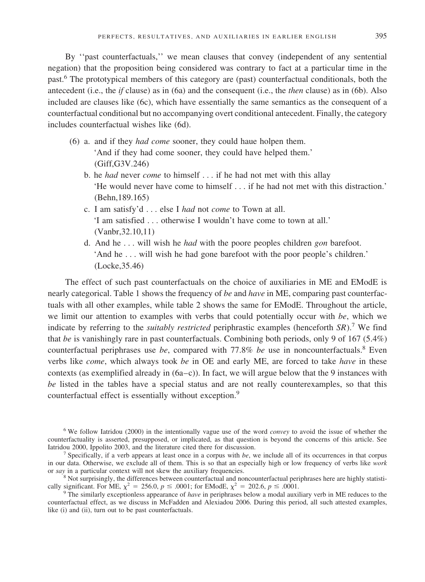By ''past counterfactuals,'' we mean clauses that convey (independent of any sentential negation) that the proposition being considered was contrary to fact at a particular time in the past.<sup>6</sup> The prototypical members of this category are (past) counterfactual conditionals, both the antecedent (i.e., the *if* clause) as in (6a) and the consequent (i.e., the *then* clause) as in (6b). Also included are clauses like (6c), which have essentially the same semantics as the consequent of a counterfactual conditional but no accompanying overt conditional antecedent. Finally, the category includes counterfactual wishes like (6d).

- (6) a. and if they *had come* sooner, they could haue holpen them. 'And if they had come sooner, they could have helped them.' (Giff,G3V.246)
	- b. he *had* never *come* to himself . . . if he had not met with this allay 'He would never have come to himself . . . if he had not met with this distraction.' (Behn,189.165)
	- c. I am satisfy'd . . . else I *had* not *come* to Town at all. 'I am satisfied . . . otherwise I wouldn't have come to town at all.' (Vanbr,32.10,11)
	- d. And he . . . will wish he *had* with the poore peoples children *gon* barefoot. 'And he . . . will wish he had gone barefoot with the poor people's children.' (Locke,35.46)

The effect of such past counterfactuals on the choice of auxiliaries in ME and EModE is nearly categorical. Table 1 shows the frequency of *be* and *have* in ME, comparing past counterfactuals with all other examples, while table 2 shows the same for EModE. Throughout the article, we limit our attention to examples with verbs that could potentially occur with *be*, which we indicate by referring to the *suitably restricted* periphrastic examples (henceforth *SR*).<sup>7</sup> We find that *be* is vanishingly rare in past counterfactuals. Combining both periods, only 9 of 167 (5.4%) counterfactual periphrases use *be*, compared with 77.8% *be* use in noncounterfactuals.<sup>8</sup> Even verbs like *come*, which always took *be* in OE and early ME, are forced to take *have* in these contexts (as exemplified already in  $(6a-c)$ ). In fact, we will argue below that the 9 instances with *be* listed in the tables have a special status and are not really counterexamples, so that this counterfactual effect is essentially without exception.<sup>9</sup>

<sup>6</sup> We follow Iatridou (2000) in the intentionally vague use of the word *convey* to avoid the issue of whether the counterfactuality is asserted, presupposed, or implicated, as that question is beyond the concerns of this article. See

<sup>&</sup>lt;sup>7</sup> Specifically, if a verb appears at least once in a corpus with *be*, we include all of its occurrences in that corpus in our data. Otherwise, we exclude all of them. This is so that an especially high or low frequency of verbs like *work* or *say* in a particular context will not skew the auxiliary frequencies.

<sup>&</sup>lt;sup>8</sup> Not surprisingly, the differences between counterfactual and noncounterfactual periphrases here are highly statistically significant. For ME,  $\chi^2 = 256.0, p \le 0.001$ ; for EModE,  $\chi^2 = 202.6, p \le$ 

<sup>&</sup>lt;sup>9</sup> The similarly exceptionless appearance of *have* in periphrases below a modal auxiliary verb in ME reduces to the counterfactual effect, as we discuss in McFadden and Alexiadou 2006. During this period, all such attested examples, like (i) and (ii), turn out to be past counterfactuals.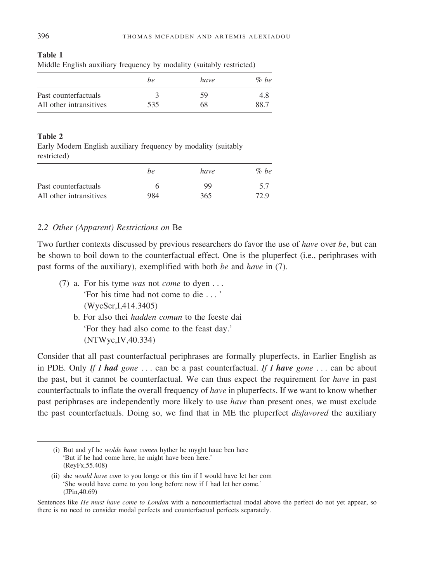|                         | be  | have | % be  |
|-------------------------|-----|------|-------|
| Past counterfactuals    |     | 59   |       |
| All other intransitives | 535 | 68   | -88.7 |

**Table 1** Middle English auxiliary frequency by modality (suitably restricted)

#### **Table 2**

Early Modern English auxiliary frequency by modality (suitably restricted)

|                         | be  | have | % be |
|-------------------------|-----|------|------|
| Past counterfactuals    |     | 99   | 5.7  |
| All other intransitives | 984 | 365  | 72 Q |

#### *2.2 Other (Apparent) Restrictions on* Be

Two further contexts discussed by previous researchers do favor the use of *have* over *be*, but can be shown to boil down to the counterfactual effect. One is the pluperfect (i.e., periphrases with past forms of the auxiliary), exemplified with both *be* and *have* in (7).

- (7) a. For his tyme *was* not *come* to dyen . . . 'For his time had not come to die ...' (WycSer,I,414.3405)
	- b. For also thei *hadden comun* to the feeste dai 'For they had also come to the feast day.' (NTWyc,IV,40.334)

Consider that all past counterfactual periphrases are formally pluperfects, in Earlier English as in PDE. Only *If I had gone* . . . can be a past counterfactual. *If I have gone* . . . can be about the past, but it cannot be counterfactual. We can thus expect the requirement for *have* in past counterfactuals to inflate the overall frequency of *have* in pluperfects. If we want to know whether past periphrases are independently more likely to use *have* than present ones, we must exclude the past counterfactuals. Doing so, we find that in ME the pluperfect *disfavored* the auxiliary

Sentences like *He must have come to London* with a noncounterfactual modal above the perfect do not yet appear, so there is no need to consider modal perfects and counterfactual perfects separately.

<sup>(</sup>i) But and yf he *wolde haue comen* hyther he myght haue ben here 'But if he had come here, he might have been here.' (ReyFx,55.408)

<sup>(</sup>ii) she *would have com* to you longe or this tim if I would have let her com 'She would have come to you long before now if I had let her come.' (JPin,40.69)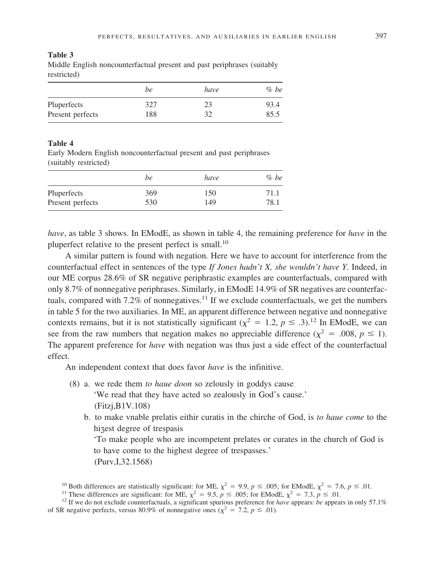#### **Table 3**

Middle English noncounterfactual present and past periphrases (suitably restricted)

|                  | be  | have | % be |
|------------------|-----|------|------|
| Pluperfects      | 327 | 23   | 93.4 |
| Present perfects | 188 | 32   | 85.5 |

#### **Table 4**

Early Modern English noncounterfactual present and past periphrases (suitably restricted)

|                  | be  | have | % be |
|------------------|-----|------|------|
| Pluperfects      | 369 | 150  | 71.1 |
| Present perfects | 530 | 149  | 78.1 |

*have*, as table 3 shows. In EModE, as shown in table 4, the remaining preference for *have* in the pluperfect relative to the present perfect is small.<sup>10</sup>

A similar pattern is found with negation. Here we have to account for interference from the counterfactual effect in sentences of the type *If Jones hadn't X, she wouldn't have Y*. Indeed, in our ME corpus 28.6% of SR negative periphrastic examples are counterfactuals, compared with only 8.7% of nonnegative periphrases. Similarly, in EModE 14.9% of SR negatives are counterfactuals, compared with  $7.2\%$  of nonnegatives.<sup>11</sup> If we exclude counterfactuals, we get the numbers in table 5 for the two auxiliaries. In ME, an apparent difference between negative and nonnegative contexts remains, but it is not statistically significant ( $\chi^2 = 1.2$ ,  $p \leq .3$ ).<sup>12</sup> In EModE, we can see from the raw numbers that negation makes no appreciable difference ( $\chi^2 = .008$ ,  $p \le 1$ ). The apparent preference for *have* with negation was thus just a side effect of the counterfactual effect.

An independent context that does favor *have* is the infinitive.

- (8) a. we rede them *to haue doon* so zelously in goddys cause 'We read that they have acted so zealously in God's cause.' (Fitzj,B1V.108)
	- b. to make vnable prelatis eithir curatis in the chirche of God, is *to haue come* to the hizest degree of trespasis

'To make people who are incompetent prelates or curates in the church of God is to have come to the highest degree of trespasses.' (Purv,I,32.1568)

<sup>10</sup> Both differences are statistically significant: for ME,  $\chi^2 = 9.9$ ,  $p \le 0.005$ ; for EModE,  $\chi^2 = 7.6$ ,  $p \le$ <sup>10</sup> Both differences are statistically significant: for ME,  $\chi^2 = 9.9$ ,  $p \le 0.005$ ; for EModE,  $\chi^2 = 7.6$ ,  $p \le 0.01$ .<br><sup>11</sup> These differences are significant: for ME,  $\chi^2 = 9.5$ ,  $p \le 0.005$ ; for EModE,  $\chi^2 = 7.3$ ,

<sup>&</sup>lt;sup>12</sup> If we do not exclude counterfactuals, a significant spurious preference for *have* appears: *be* appears in only 57.1% of SR negative perfects, versus 80.9% of nonnegative ones ( $\chi^2 = 7.2$ ,  $p \le .01$ ).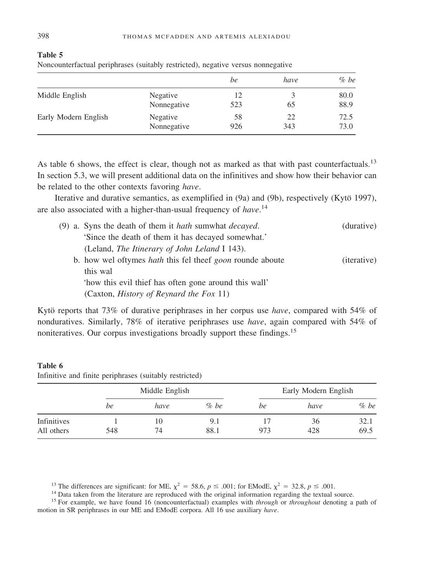|                      |                         | be        | have      | % be         |
|----------------------|-------------------------|-----------|-----------|--------------|
| Middle English       | Negative<br>Nonnegative | 12<br>523 | 65        | 80.0<br>88.9 |
| Early Modern English | Negative<br>Nonnegative | 58<br>926 | 22<br>343 | 72.5<br>73.0 |

**Table 5**

Noncounterfactual periphrases (suitably restricted), negative versus nonnegative

As table 6 shows, the effect is clear, though not as marked as that with past counterfactuals.<sup>13</sup> In section 5.3, we will present additional data on the infinitives and show how their behavior can be related to the other contexts favoring *have*.

Iterative and durative semantics, as exemplified in (9a) and (9b), respectively (Kytö 1997), are also associated with a higher-than-usual frequency of *have*. 14

|  | (9) a. Syns the death of them it hath sumwhat decayed.                  | (durative)           |
|--|-------------------------------------------------------------------------|----------------------|
|  | 'Since the death of them it has decayed somewhat.'                      |                      |
|  | (Leland, <i>The Itinerary of John Leland</i> I 143).                    |                      |
|  | b. how wel oftymes <i>hath</i> this fel theef <i>goon</i> rounde aboute | ( <i>iterative</i> ) |
|  | this wal                                                                |                      |
|  | 'how this evil thief has often gone around this wall'                   |                      |
|  | (Caxton, History of Reynard the Fox 11)                                 |                      |

Kytö reports that 73% of durative periphrases in her corpus use *have*, compared with 54% of nonduratives. Similarly, 78% of iterative periphrases use *have*, again compared with 54% of noniteratives. Our corpus investigations broadly support these findings.<sup>15</sup>

#### **Table 6**

Infinitive and finite periphrases (suitably restricted)

|             | Middle English |      | Early Modern English |     |      |      |
|-------------|----------------|------|----------------------|-----|------|------|
|             | be             | have | $\%$ be              | be  | have | %be  |
| Infinitives |                | 10   | 9.1                  |     | 36   | 32.1 |
| All others  | 548            | 74   | 88.1                 | 973 | 428  | 69.5 |

<sup>13</sup> The differences are significant: for ME,  $\chi^2 = 58.6$ ,  $p \le .001$ ; for EModE,  $\chi^2 = 32.8$ ,  $p \le .001$ 

<sup>14</sup> Data taken from the literature are reproduced with the original information regarding the textual source.<br><sup>15</sup> For example, we have found 16 (noncounterfactual) examples with *through* or *throughout* denoting a path motion in SR periphrases in our ME and EModE corpora. All 16 use auxiliary *have*.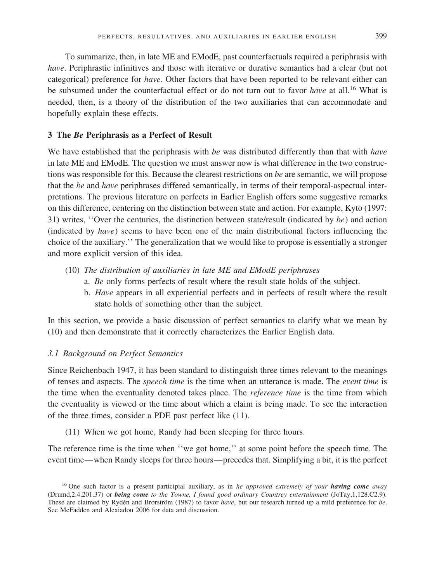To summarize, then, in late ME and EModE, past counterfactuals required a periphrasis with *have*. Periphrastic infinitives and those with iterative or durative semantics had a clear (but not categorical) preference for *have*. Other factors that have been reported to be relevant either can be subsumed under the counterfactual effect or do not turn out to favor *have* at all.<sup>16</sup> What is needed, then, is a theory of the distribution of the two auxiliaries that can accommodate and hopefully explain these effects.

## **3 The** *Be* **Periphrasis as a Perfect of Result**

We have established that the periphrasis with *be* was distributed differently than that with *have* in late ME and EModE. The question we must answer now is what difference in the two constructions was responsible for this. Because the clearest restrictions on *be* are semantic, we will propose that the *be* and *have* periphrases differed semantically, in terms of their temporal-aspectual interpretations. The previous literature on perfects in Earlier English offers some suggestive remarks on this difference, centering on the distinction between state and action. For example, Kytö (1997: 31) writes, ''Over the centuries, the distinction between state/result (indicated by *be*) and action (indicated by *have*) seems to have been one of the main distributional factors influencing the choice of the auxiliary.'' The generalization that we would like to propose is essentially a stronger and more explicit version of this idea.

- (10) *The distribution of auxiliaries in late ME and EModE periphrases*
	- a. *Be* only forms perfects of result where the result state holds of the subject.
	- b. *Have* appears in all experiential perfects and in perfects of result where the result state holds of something other than the subject.

In this section, we provide a basic discussion of perfect semantics to clarify what we mean by (10) and then demonstrate that it correctly characterizes the Earlier English data.

# *3.1 Background on Perfect Semantics*

Since Reichenbach 1947, it has been standard to distinguish three times relevant to the meanings of tenses and aspects. The *speech time* is the time when an utterance is made. The *event time* is the time when the eventuality denoted takes place. The *reference time* is the time from which the eventuality is viewed or the time about which a claim is being made. To see the interaction of the three times, consider a PDE past perfect like (11).

(11) When we got home, Randy had been sleeping for three hours.

The reference time is the time when ''we got home,'' at some point before the speech time. The event time—when Randy sleeps for three hours—precedes that. Simplifying a bit, it is the perfect

<sup>16</sup> One such factor is a present participial auxiliary, as in *he approved extremely of your having come away* (Drumd,2.4,201.37) or *being come to the Towne, I found good ordinary Countrey entertainment* (JoTay,1,128.C2.9). These are claimed by Rydén and Brorström (1987) to favor *have*, but our research turned up a mild preference for *be*. See McFadden and Alexiadou 2006 for data and discussion.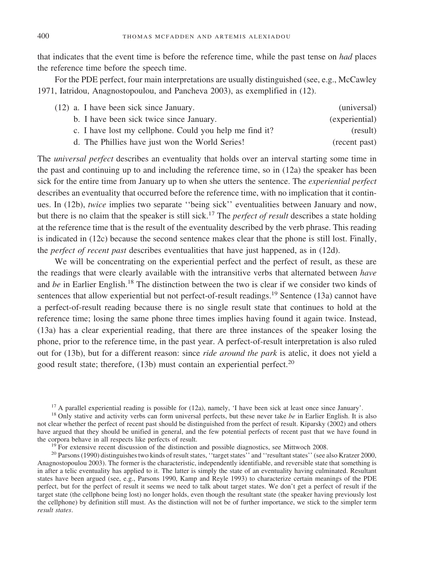that indicates that the event time is before the reference time, while the past tense on *had* places the reference time before the speech time.

For the PDE perfect, four main interpretations are usually distinguished (see, e.g., McCawley 1971, Iatridou, Anagnostopoulou, and Pancheva 2003), as exemplified in (12).

| (universal)    | (12) a. I have been sick since January.                 |  |
|----------------|---------------------------------------------------------|--|
| (experiential) | b. I have been sick twice since January.                |  |
| (result)       | c. I have lost my cellphone. Could you help me find it? |  |
| (recent past)  | d. The Phillies have just won the World Series!         |  |

The *universal perfect* describes an eventuality that holds over an interval starting some time in the past and continuing up to and including the reference time, so in (12a) the speaker has been sick for the entire time from January up to when she utters the sentence. The *experiential perfect* describes an eventuality that occurred before the reference time, with no implication that it continues. In (12b), *twice* implies two separate ''being sick'' eventualities between January and now, but there is no claim that the speaker is still sick.<sup>17</sup> The *perfect of result* describes a state holding at the reference time that is the result of the eventuality described by the verb phrase. This reading is indicated in (12c) because the second sentence makes clear that the phone is still lost. Finally, the *perfect of recent past* describes eventualities that have just happened, as in (12d).

We will be concentrating on the experiential perfect and the perfect of result, as these are the readings that were clearly available with the intransitive verbs that alternated between *have* and *be* in Earlier English.<sup>18</sup> The distinction between the two is clear if we consider two kinds of sentences that allow experiential but not perfect-of-result readings.<sup>19</sup> Sentence (13a) cannot have a perfect-of-result reading because there is no single result state that continues to hold at the reference time; losing the same phone three times implies having found it again twice. Instead, (13a) has a clear experiential reading, that there are three instances of the speaker losing the phone, prior to the reference time, in the past year. A perfect-of-result interpretation is also ruled out for (13b), but for a different reason: since *ride around the park* is atelic, it does not yield a good result state; therefore,  $(13b)$  must contain an experiential perfect.<sup>20</sup>

<sup>17</sup> A parallel experiential reading is possible for (12a), namely, 'I have been sick at least once since January'.<br><sup>18</sup> Only stative and activity verbs can form universal perfects, but these never take *be* in Earlier En not clear whether the perfect of recent past should be distinguished from the perfect of result. Kiparsky (2002) and others have argued that they should be unified in general, and the few potential perfects of recent past that we have found in the corpora behave in all respects like perfects of result.<br><sup>19</sup> For extensive recent discussion of the distinction and possible diagnostics, see Mittwoch 2008.<br><sup>20</sup> Parsons (1990) distinguishes two kinds of result states,

Anagnostopoulou 2003). The former is the characteristic, independently identifiable, and reversible state that something is in after a telic eventuality has applied to it. The latter is simply the state of an eventuality having culminated. Resultant states have been argued (see, e.g., Parsons 1990, Kamp and Reyle 1993) to characterize certain meanings of the PDE perfect, but for the perfect of result it seems we need to talk about target states. We don't get a perfect of result if the target state (the cellphone being lost) no longer holds, even though the resultant state (the speaker having previously lost the cellphone) by definition still must. As the distinction will not be of further importance, we stick to the simpler term *result states*.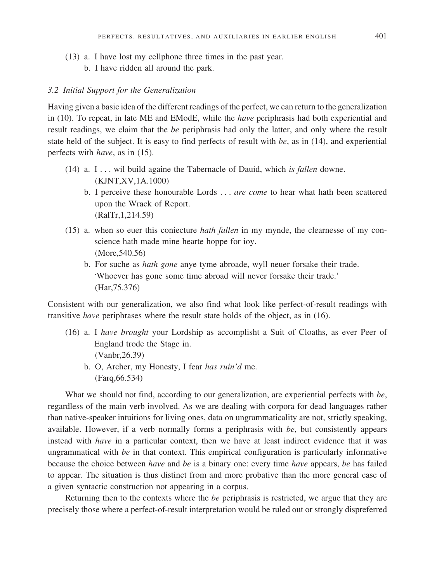- (13) a. I have lost my cellphone three times in the past year.
	- b. I have ridden all around the park.

#### *3.2 Initial Support for the Generalization*

Having given a basic idea of the different readings of the perfect, we can return to the generalization in (10). To repeat, in late ME and EModE, while the *have* periphrasis had both experiential and result readings, we claim that the *be* periphrasis had only the latter, and only where the result state held of the subject. It is easy to find perfects of result with *be*, as in (14), and experiential perfects with *have*, as in (15).

- (14) a. I . . . wil build againe the Tabernacle of Dauid, which *is fallen* downe. (KJNT,XV,1A.1000)
	- b. I perceive these honourable Lords . . . *are come* to hear what hath been scattered upon the Wrack of Report. (RalTr,1,214.59)
- (15) a. when so euer this coniecture *hath fallen* in my mynde, the clearnesse of my conscience hath made mine hearte hoppe for ioy. (More,540.56)
	- b. For suche as *hath gone* anye tyme abroade, wyll neuer forsake their trade. 'Whoever has gone some time abroad will never forsake their trade.' (Har,75.376)

Consistent with our generalization, we also find what look like perfect-of-result readings with transitive *have* periphrases where the result state holds of the object, as in (16).

(16) a. I *have brought* your Lordship as accomplisht a Suit of Cloaths, as ever Peer of England trode the Stage in. (Vanbr,26.39) b. O, Archer, my Honesty, I fear *has ruin'd* me. (Farq,66.534)

What we should not find, according to our generalization, are experiential perfects with *be*, regardless of the main verb involved. As we are dealing with corpora for dead languages rather than native-speaker intuitions for living ones, data on ungrammaticality are not, strictly speaking, available. However, if a verb normally forms a periphrasis with *be*, but consistently appears instead with *have* in a particular context, then we have at least indirect evidence that it was ungrammatical with *be* in that context. This empirical configuration is particularly informative because the choice between *have* and *be* is a binary one: every time *have* appears, *be* has failed to appear. The situation is thus distinct from and more probative than the more general case of a given syntactic construction not appearing in a corpus.

Returning then to the contexts where the *be* periphrasis is restricted, we argue that they are precisely those where a perfect-of-result interpretation would be ruled out or strongly dispreferred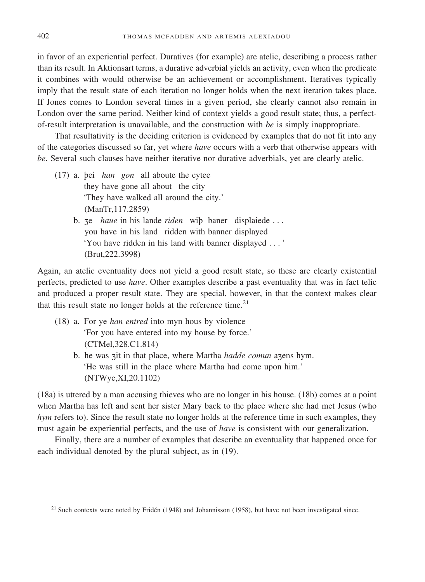in favor of an experiential perfect. Duratives (for example) are atelic, describing a process rather than its result. In Aktionsart terms, a durative adverbial yields an activity, even when the predicate it combines with would otherwise be an achievement or accomplishment. Iteratives typically imply that the result state of each iteration no longer holds when the next iteration takes place. If Jones comes to London several times in a given period, she clearly cannot also remain in London over the same period. Neither kind of context yields a good result state; thus, a perfectof-result interpretation is unavailable, and the construction with *be* is simply inappropriate.

That resultativity is the deciding criterion is evidenced by examples that do not fit into any of the categories discussed so far, yet where *have* occurs with a verb that otherwise appears with *be*. Several such clauses have neither iterative nor durative adverbials, yet are clearly atelic.

- (17) a. Èei *han gon* all aboute the cytee they have gone all about the city 'They have walked all around the city.' (ManTr,117.2859)
	- b. ze *haue* in his lande *riden* wip baner displaiede ... you have in his land ridden with banner displayed 'You have ridden in his land with banner displayed ...' (Brut,222.3998)

Again, an atelic eventuality does not yield a good result state, so these are clearly existential perfects, predicted to use *have*. Other examples describe a past eventuality that was in fact telic and produced a proper result state. They are special, however, in that the context makes clear that this result state no longer holds at the reference time. $21$ 

- (18) a. For ye *han entred* into myn hous by violence 'For you have entered into my house by force.' (CTMel,328.C1.814)
	- b. he was zit in that place, where Martha *hadde comun* azens hym. 'He was still in the place where Martha had come upon him.' (NTWyc,XI,20.1102)

(18a) is uttered by a man accusing thieves who are no longer in his house. (18b) comes at a point when Martha has left and sent her sister Mary back to the place where she had met Jesus (who *hym* refers to). Since the result state no longer holds at the reference time in such examples, they must again be experiential perfects, and the use of *have* is consistent with our generalization.

Finally, there are a number of examples that describe an eventuality that happened once for each individual denoted by the plural subject, as in (19).

 $21$  Such contexts were noted by Fridén (1948) and Johannisson (1958), but have not been investigated since.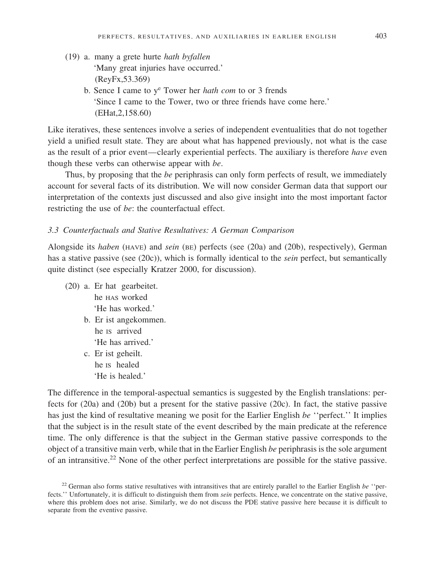- (19) a. many a grete hurte *hath byfallen* 'Many great injuries have occurred.' (ReyFx,53.369)
	- b. Sence I came to y<sup>e</sup> Tower her *hath com* to or 3 frends 'Since I came to the Tower, two or three friends have come here.' (EHat,2,158.60)

Like iteratives, these sentences involve a series of independent eventualities that do not together yield a unified result state. They are about what has happened previously, not what is the case as the result of a prior event—clearly experiential perfects. The auxiliary is therefore *have* even though these verbs can otherwise appear with *be*.

Thus, by proposing that the *be* periphrasis can only form perfects of result, we immediately account for several facts of its distribution. We will now consider German data that support our interpretation of the contexts just discussed and also give insight into the most important factor restricting the use of *be*: the counterfactual effect.

## *3.3 Counterfactuals and Stative Resultatives: A German Comparison*

Alongside its *haben* (HAVE) and *sein* (BE) perfects (see (20a) and (20b), respectively), German has a stative passive (see (20c)), which is formally identical to the *sein* perfect, but semantically quite distinct (see especially Kratzer 2000, for discussion).

- (20) a. Er hat gearbeitet. he HAS worked 'He has worked.' b. Er ist angekommen.
	- he IS arrived 'He has arrived.'
	- c. Er ist geheilt. he IS healed 'He is healed.'

The difference in the temporal-aspectual semantics is suggested by the English translations: perfects for (20a) and (20b) but a present for the stative passive (20c). In fact, the stative passive has just the kind of resultative meaning we posit for the Earlier English *be* ''perfect.'' It implies that the subject is in the result state of the event described by the main predicate at the reference time. The only difference is that the subject in the German stative passive corresponds to the object of a transitive main verb, while that in the Earlier English *be* periphrasis is the sole argument of an intransitive.<sup>22</sup> None of the other perfect interpretations are possible for the stative passive.

<sup>22</sup> German also forms stative resultatives with intransitives that are entirely parallel to the Earlier English *be* ''perfects.'' Unfortunately, it is difficult to distinguish them from *sein* perfects. Hence, we concentrate on the stative passive, where this problem does not arise. Similarly, we do not discuss the PDE stative passive here because it is difficult to separate from the eventive passive.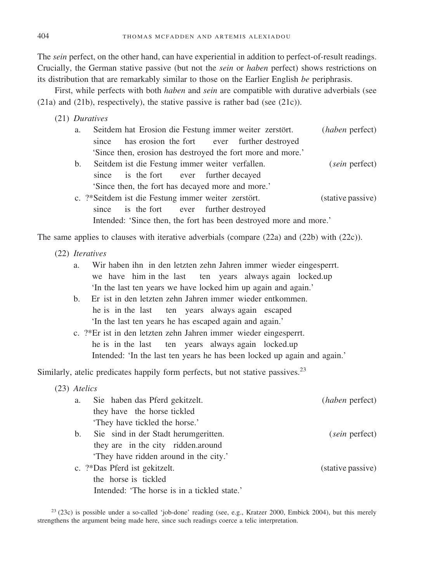The *sein* perfect, on the other hand, can have experiential in addition to perfect-of-result readings. Crucially, the German stative passive (but not the *sein* or *haben* perfect) shows restrictions on its distribution that are remarkably similar to those on the Earlier English *be* periphrasis.

First, while perfects with both *haben* and *sein* are compatible with durative adverbials (see (21a) and (21b), respectively), the stative passive is rather bad (see (21c)).

- (21) *Duratives*
	- a. Seitdem hat Erosion die Festung immer weiter zerstört. since has erosion the fort ever further destroyed (*haben* perfect) 'Since then, erosion has destroyed the fort more and more.'
	- b. Seitdem ist die Festung immer weiter verfallen. since is the fort ever further decayed (*sein* perfect) 'Since then, the fort has decayed more and more.'
	- c. ?\*Seitdem ist die Festung immer weiter zerstört. since is the fort ever further destroyed (stative passive) Intended: 'Since then, the fort has been destroyed more and more.'

The same applies to clauses with iterative adverbials (compare (22a) and (22b) with (22c)).

- (22) *Iteratives*
	- a. Wir haben ihn in den letzten zehn Jahren immer wieder eingesperrt. we have him in the last ten years always again locked.up 'In the last ten years we have locked him up again and again.'
	- b. Er ist in den letzten zehn Jahren immer wieder entkommen. he is in the last ten years always again escaped 'In the last ten years he has escaped again and again.'
	- c. ?\*Er ist in den letzten zehn Jahren immer wieder eingesperrt. he is in the last ten years always again locked.up Intended: 'In the last ten years he has been locked up again and again.'

Similarly, atelic predicates happily form perfects, but not stative passives.<sup>23</sup>

(23) *Atelics*

| a. | Sie haben das Pferd gekitzelt.               | ( <i>haben</i> perfect) |
|----|----------------------------------------------|-------------------------|
|    | they have the horse tickled                  |                         |
|    | 'They have tickled the horse.'               |                         |
| b. | Sie sind in der Stadt herumgeritten.         | ( <i>sein</i> perfect)  |
|    | they are in the city ridden.around           |                         |
|    | 'They have ridden around in the city.'       |                         |
|    | c. ?*Das Pferd ist gekitzelt.                | (stative passive)       |
|    | the horse is tickled                         |                         |
|    | Intended: 'The horse is in a tickled state.' |                         |

 $23$  (23c) is possible under a so-called 'job-done' reading (see, e.g., Kratzer 2000, Embick 2004), but this merely strengthens the argument being made here, since such readings coerce a telic interpretation.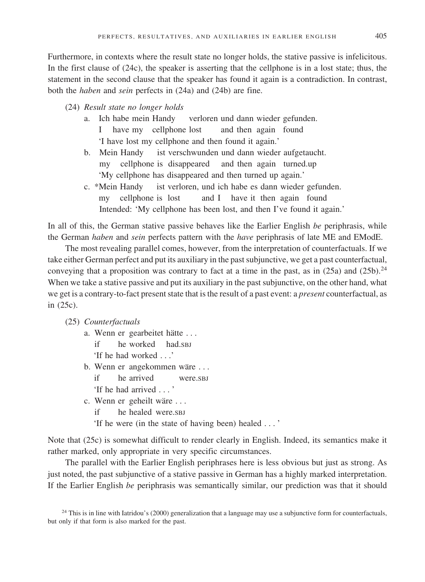Furthermore, in contexts where the result state no longer holds, the stative passive is infelicitous. In the first clause of (24c), the speaker is asserting that the cellphone is in a lost state; thus, the statement in the second clause that the speaker has found it again is a contradiction. In contrast, both the *haben* and *sein* perfects in (24a) and (24b) are fine.

- (24) *Result state no longer holds*
	- a. Ich habe mein Handy verloren und dann wieder gefunden. I have my cellphone lost and then again found 'I have lost my cellphone and then found it again.'
	- b. Mein Handy ist verschwunden und dann wieder aufgetaucht. my cellphone is disappeared and then again turned.up 'My cellphone has disappeared and then turned up again.'
	- c. \*Mein Handy ist verloren, und ich habe es dann wieder gefunden. my cellphone is lost and I have it then again found Intended: 'My cellphone has been lost, and then I've found it again.'

In all of this, the German stative passive behaves like the Earlier English *be* periphrasis, while the German *haben* and *sein* perfects pattern with the *have* periphrasis of late ME and EModE.

The most revealing parallel comes, however, from the interpretation of counterfactuals. If we take either German perfect and put its auxiliary in the past subjunctive, we get a past counterfactual, conveying that a proposition was contrary to fact at a time in the past, as in  $(25a)$  and  $(25b)$ .<sup>24</sup> When we take a stative passive and put its auxiliary in the past subjunctive, on the other hand, what we get is a contrary-to-fact present state that is the result of a past event: a *present* counterfactual, as in (25c).

#### (25) *Counterfactuals*

- a. Wenn er gearbeitet hätte ...
	- if he worked had.SBJ

'If he had worked . . .'

- b. Wenn er angekommen wäre ... if he arrived were.SBJ
	- 'If he had arrived ...'
- c. Wenn er geheilt wäre ...
	- if he healed were.SBJ
	- 'If he were (in the state of having been) healed ...'

Note that (25c) is somewhat difficult to render clearly in English. Indeed, its semantics make it rather marked, only appropriate in very specific circumstances.

The parallel with the Earlier English periphrases here is less obvious but just as strong. As just noted, the past subjunctive of a stative passive in German has a highly marked interpretation. If the Earlier English *be* periphrasis was semantically similar, our prediction was that it should

 $24$  This is in line with Iatridou's (2000) generalization that a language may use a subjunctive form for counterfactuals, but only if that form is also marked for the past.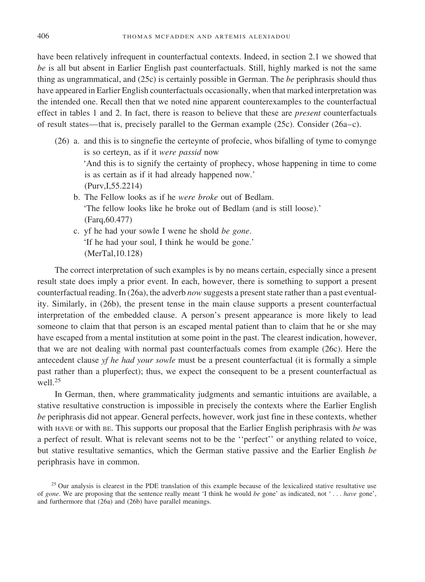have been relatively infrequent in counterfactual contexts. Indeed, in section 2.1 we showed that *be* is all but absent in Earlier English past counterfactuals. Still, highly marked is not the same thing as ungrammatical, and (25c) is certainly possible in German. The *be* periphrasis should thus have appeared in Earlier English counterfactuals occasionally, when that marked interpretation was the intended one. Recall then that we noted nine apparent counterexamples to the counterfactual effect in tables 1 and 2. In fact, there is reason to believe that these are *present* counterfactuals of result states—that is, precisely parallel to the German example (25c). Consider (26a–c).

- (26) a. and this is to singnefie the certeynte of profecie, whos bifalling of tyme to comynge is so certeyn, as if it *were passid* now 'And this is to signify the certainty of prophecy, whose happening in time to come is as certain as if it had already happened now.' (Purv,I,55.2214)
	- b. The Fellow looks as if he *were broke* out of Bedlam. 'The fellow looks like he broke out of Bedlam (and is still loose).' (Farq,60.477)
	- c. yf he had your sowle I wene he shold *be gone*. 'If he had your soul, I think he would be gone.' (MerTal,10.128)

The correct interpretation of such examples is by no means certain, especially since a present result state does imply a prior event. In each, however, there is something to support a present counterfactual reading. In (26a), the adverb *now* suggests a present state rather than a past eventuality. Similarly, in (26b), the present tense in the main clause supports a present counterfactual interpretation of the embedded clause. A person's present appearance is more likely to lead someone to claim that that person is an escaped mental patient than to claim that he or she may have escaped from a mental institution at some point in the past. The clearest indication, however, that we are not dealing with normal past counterfactuals comes from example (26c). Here the antecedent clause *yf he had your sowle* must be a present counterfactual (it is formally a simple past rather than a pluperfect); thus, we expect the consequent to be a present counterfactual as well $25$ 

In German, then, where grammaticality judgments and semantic intuitions are available, a stative resultative construction is impossible in precisely the contexts where the Earlier English *be* periphrasis did not appear. General perfects, however, work just fine in these contexts, whether with HAVE or with BE. This supports our proposal that the Earlier English periphrasis with *be* was a perfect of result. What is relevant seems not to be the ''perfect'' or anything related to voice, but stative resultative semantics, which the German stative passive and the Earlier English *be* periphrasis have in common.

 $25$  Our analysis is clearest in the PDE translation of this example because of the lexicalized stative resultative use of *gone*. We are proposing that the sentence really meant 'I think he would *be* gone' as indicated, not '... *have* gone', and furthermore that (26a) and (26b) have parallel meanings.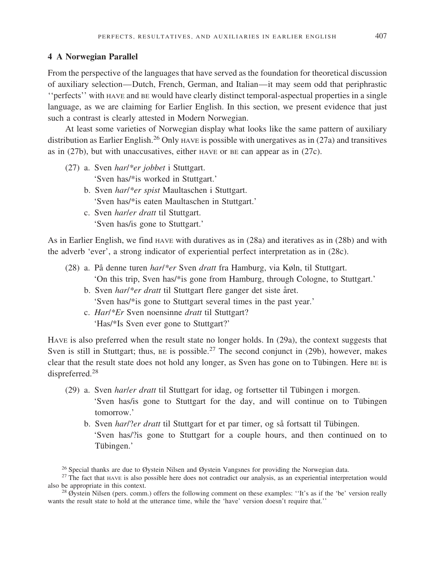## **4 A Norwegian Parallel**

From the perspective of the languages that have served as the foundation for theoretical discussion of auxiliary selection—Dutch, French, German, and Italian—it may seem odd that periphrastic ''perfects'' with HAVE and BE would have clearly distinct temporal-aspectual properties in a single language, as we are claiming for Earlier English. In this section, we present evidence that just such a contrast is clearly attested in Modern Norwegian.

At least some varieties of Norwegian display what looks like the same pattern of auxiliary distribution as Earlier English.<sup>26</sup> Only  $H = 26$  possible with unergatives as in (27a) and transitives as in (27b), but with unaccusatives, either HAVE or BE can appear as in (27c).

- (27) a. Sven *har*/*\*er jobbet* i Stuttgart. 'Sven has/\*is worked in Stuttgart.'
	- b. Sven *har*/*\*er spist* Maultaschen i Stuttgart. 'Sven has/\*is eaten Maultaschen in Stuttgart.'
	- c. Sven *har*/*er dratt* til Stuttgart. 'Sven has/is gone to Stuttgart.'

As in Earlier English, we find HAVE with duratives as in (28a) and iteratives as in (28b) and with the adverb 'ever', a strong indicator of experiential perfect interpretation as in (28c).

- (28) a. Pa˚ denne turen *har*/*\*er* Sven *dratt* fra Hamburg, via Køln, til Stuttgart. 'On this trip, Sven has/\*is gone from Hamburg, through Cologne, to Stuttgart.'
	- b. Sven *har/\*er dratt* til Stuttgart flere ganger det siste året. 'Sven has/\*is gone to Stuttgart several times in the past year.'
	- c. *Har*/*\*Er* Sven noensinne *dratt* til Stuttgart? 'Has/\*Is Sven ever gone to Stuttgart?'

HAVE is also preferred when the result state no longer holds. In (29a), the context suggests that Sven is still in Stuttgart; thus,  $BE$  is possible.<sup>27</sup> The second conjunct in (29b), however, makes clear that the result state does not hold any longer, as Sven has gone on to Tübingen. Here BE is dispreferred.<sup>28</sup>

- (29) a. Sven *harler dratt* til Stuttgart for idag, og fortsetter til Tübingen i morgen. 'Sven has/is gone to Stuttgart for the day, and will continue on to Tübingen tomorrow.'
	- b. Sven *har/?er dratt* til Stuttgart for et par timer, og så fortsatt til Tübingen. 'Sven has/?is gone to Stuttgart for a couple hours, and then continued on to Tübingen.'

<sup>26</sup> Special thanks are due to Øystein Nilsen and Øystein Vangsnes for providing the Norwegian data. <sup>27</sup> The fact that  $H$ AVE is also possible here does not contradict our analysis, as an experiential interpretation woul also be appropriate in this context.<br><sup>28</sup> Øystein Nilsen (pers. comm.) offers the following comment on these examples: "It's as if the 'be' version really

wants the result state to hold at the utterance time, while the 'have' version doesn't require that.''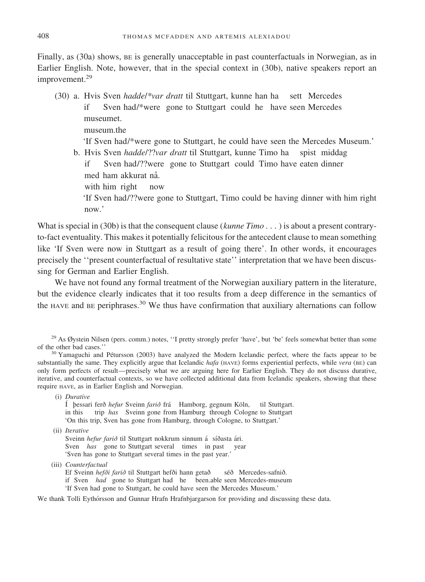Finally, as (30a) shows, BE is generally unacceptable in past counterfactuals in Norwegian, as in Earlier English. Note, however, that in the special context in (30b), native speakers report an improvement.<sup>29</sup>

(30) a. Hvis Sven *hadde*/*\*var dratt* til Stuttgart, kunne han ha sett Mercedes if Sven had/\*were gone to Stuttgart could he have seen Mercedes museumet. museum.the 'If Sven had/\*were gone to Stuttgart, he could have seen the Mercedes Museum.' b. Hvis Sven *hadde*/??*var dratt* til Stuttgart, kunne Timo ha spist middag if Sven had/??were gone to Stuttgart could Timo have eaten dinner med ham akkurat nå.

with him right now

'If Sven had/??were gone to Stuttgart, Timo could be having dinner with him right now.'

What is special in (30b) is that the consequent clause (*kunne Timo* . . . ) is about a present contraryto-fact eventuality. This makes it potentially felicitous for the antecedent clause to mean something like 'If Sven were now in Stuttgart as a result of going there'. In other words, it encourages precisely the ''present counterfactual of resultative state'' interpretation that we have been discussing for German and Earlier English.

We have not found any formal treatment of the Norwegian auxiliary pattern in the literature, but the evidence clearly indicates that it too results from a deep difference in the semantics of the HAVE and BE periphrases.<sup>30</sup> We thus have confirmation that auxiliary alternations can follow

<sup>29</sup> As Øystein Nilsen (pers. comm.) notes, "I pretty strongly prefer 'have', but 'be' feels somewhat better than some of the other bad cases."

<sup>30</sup> Yamaguchi and Pétursson (2003) have analyzed the Modern Icelandic perfect, where the facts appear to be substantially the same. They explicitly argue that Icelandic *hafa* (HAVE) forms experiential perfects, while *vera* (BE) can only form perfects of result—precisely what we are arguing here for Earlier English. They do not discuss durative, iterative, and counterfactual contexts, so we have collected additional data from Icelandic speakers, showing that these require HAVE, as in Earlier English and Norwegian.

(i) *Durative*

Í þessari ferð *hefur* Sveinn *farið* frá Hamborg, gegnum Köln, til Stuttgart. in this trip *has* Sveinn gone from Hamburg through Cologne to Stuttgart 'On this trip, Sven has gone from Hamburg, through Cologne, to Stuttgart.'

(ii) *Iterative*

Sveinn *hefur farið* til Stuttgart nokkrum sinnum á síðasta ári. Sven *has* gone to Stuttgart several times in past year 'Sven has gone to Stuttgart several times in the past year.'

(iii) *Counterfactual*

Ef Sveinn *hefði farið* til Stuttgart hefði hann getað séð Mercedes-safnið.

if Sven *had* gone to Stuttgart had he been.able seen Mercedes-museum

'If Sven had gone to Stuttgart, he could have seen the Mercedes Museum.'

We thank Tolli Eythórsson and Gunnar Hrafn Hrafnbjargarson for providing and discussing these data.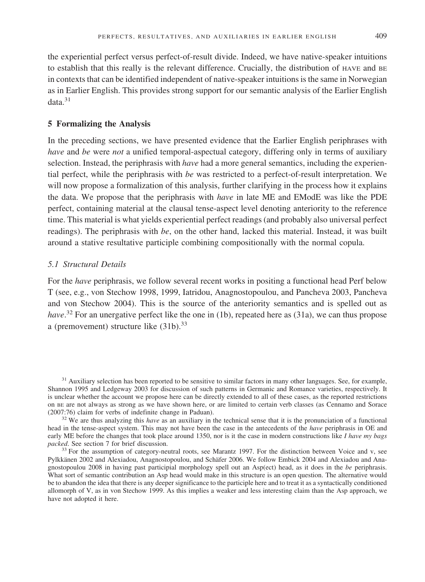the experiential perfect versus perfect-of-result divide. Indeed, we have native-speaker intuitions to establish that this really is the relevant difference. Crucially, the distribution of HAVE and BE in contexts that can be identified independent of native-speaker intuitions is the same in Norwegian as in Earlier English. This provides strong support for our semantic analysis of the Earlier English data.<sup>31</sup>

#### **5 Formalizing the Analysis**

In the preceding sections, we have presented evidence that the Earlier English periphrases with *have* and *be* were *not* a unified temporal-aspectual category, differing only in terms of auxiliary selection. Instead, the periphrasis with *have* had a more general semantics, including the experiential perfect, while the periphrasis with *be* was restricted to a perfect-of-result interpretation. We will now propose a formalization of this analysis, further clarifying in the process how it explains the data. We propose that the periphrasis with *have* in late ME and EModE was like the PDE perfect, containing material at the clausal tense-aspect level denoting anteriority to the reference time. This material is what yields experiential perfect readings (and probably also universal perfect readings). The periphrasis with *be*, on the other hand, lacked this material. Instead, it was built around a stative resultative participle combining compositionally with the normal copula.

## *5.1 Structural Details*

For the *have* periphrasis, we follow several recent works in positing a functional head Perf below T (see, e.g., von Stechow 1998, 1999, Iatridou, Anagnostopoulou, and Pancheva 2003, Pancheva and von Stechow 2004). This is the source of the anteriority semantics and is spelled out as *have*. <sup>32</sup> For an unergative perfect like the one in (1b), repeated here as (31a), we can thus propose a (premovement) structure like  $(31b)$ .<sup>33</sup>

 $31$  Auxiliary selection has been reported to be sensitive to similar factors in many other languages. See, for example, Shannon 1995 and Ledgeway 2003 for discussion of such patterns in Germanic and Romance varieties, respectively. It is unclear whether the account we propose here can be directly extended to all of these cases, as the reported restrictions on BE are not always as strong as we have shown here, or are limited to certain verb classes (as Cennamo and Sorace (2007:76) claim for verbs of indefinite change in Paduan). <sup>32</sup> We are thus analyzing this *have* as an auxiliary in the technical sense that it is the pronunciation of a functional

head in the tense-aspect system. This may not have been the case in the antecedents of the *have* periphrasis in OE and early ME before the changes that took place around 1350, nor is it the case in modern constructions like *I have my bags packed*. See section 7 for brief discussion.<br><sup>33</sup> For the assumption of category-neutral roots, see Marantz 1997. For the distinction between Voice and v, see

Pylkkänen 2002 and Alexiadou, Anagnostopoulou, and Schäfer 2006. We follow Embick 2004 and Alexiadou and Anagnostopoulou 2008 in having past participial morphology spell out an Asp(ect) head, as it does in the *be* periphrasis. What sort of semantic contribution an Asp head would make in this structure is an open question. The alternative would be to abandon the idea that there is any deeper significance to the participle here and to treat it as a syntactically conditioned allomorph of V, as in von Stechow 1999. As this implies a weaker and less interesting claim than the Asp approach, we have not adopted it here.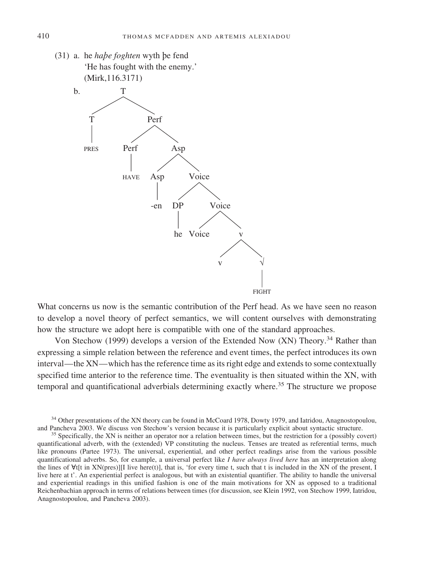(31) a. he *habe foghten* wyth be fend 'He has fought with the enemy.' (Mirk,116.3171)



What concerns us now is the semantic contribution of the Perf head. As we have seen no reason to develop a novel theory of perfect semantics, we will content ourselves with demonstrating how the structure we adopt here is compatible with one of the standard approaches.

Von Stechow (1999) develops a version of the Extended Now (XN) Theory.<sup>34</sup> Rather than expressing a simple relation between the reference and event times, the perfect introduces its own interval—the XN—which has the reference time as its right edge and extends to some contextually specified time anterior to the reference time. The eventuality is then situated within the XN, with temporal and quantificational adverbials determining exactly where.<sup>35</sup> The structure we propose

<sup>34</sup> Other presentations of the XN theory can be found in McCoard 1978, Dowty 1979, and Iatridou, Anagnostopoulou, and Pancheva 2003. We discuss von Stechow's version because it is particularly explicit about syntactic str

<sup>35</sup> Specifically, the XN is neither an operator nor a relation between times, but the restriction for a (possibly covert) quantificational adverb, with the (extended) VP constituting the nucleus. Tenses are treated as referential terms, much like pronouns (Partee 1973). The universal, experiential, and other perfect readings arise from the various possible quantificational adverbs. So, for example, a universal perfect like *I have always lived here* has an interpretation along the lines of  $\forall$ t[t in XN(pres)][I live here(t)], that is, 'for every time t, such that t is included in the XN of the present, I live here at t'. An experiential perfect is analogous, but with an existential quantifier. The ability to handle the universal and experiential readings in this unified fashion is one of the main motivations for XN as opposed to a traditional Reichenbachian approach in terms of relations between times (for discussion, see Klein 1992, von Stechow 1999, Iatridou, Anagnostopoulou, and Pancheva 2003).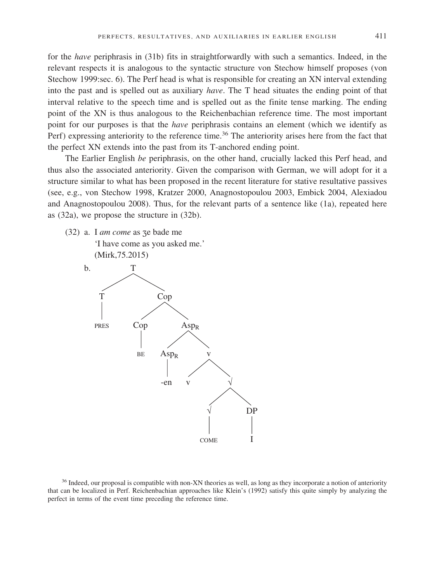for the *have* periphrasis in (31b) fits in straightforwardly with such a semantics. Indeed, in the relevant respects it is analogous to the syntactic structure von Stechow himself proposes (von Stechow 1999:sec. 6). The Perf head is what is responsible for creating an XN interval extending into the past and is spelled out as auxiliary *have*. The T head situates the ending point of that interval relative to the speech time and is spelled out as the finite tense marking. The ending point of the XN is thus analogous to the Reichenbachian reference time. The most important point for our purposes is that the *have* periphrasis contains an element (which we identify as Perf) expressing anteriority to the reference time.<sup>36</sup> The anteriority arises here from the fact that the perfect XN extends into the past from its T-anchored ending point.

The Earlier English *be* periphrasis, on the other hand, crucially lacked this Perf head, and thus also the associated anteriority. Given the comparison with German, we will adopt for it a structure similar to what has been proposed in the recent literature for stative resultative passives (see, e.g., von Stechow 1998, Kratzer 2000, Anagnostopoulou 2003, Embick 2004, Alexiadou and Anagnostopoulou 2008). Thus, for the relevant parts of a sentence like (1a), repeated here as (32a), we propose the structure in (32b).

(32) a. I *am come* as Çe bade me 'I have come as you asked me.'



<sup>36</sup> Indeed, our proposal is compatible with non-XN theories as well, as long as they incorporate a notion of anteriority that can be localized in Perf. Reichenbachian approaches like Klein's (1992) satisfy this quite simply by analyzing the perfect in terms of the event time preceding the reference time.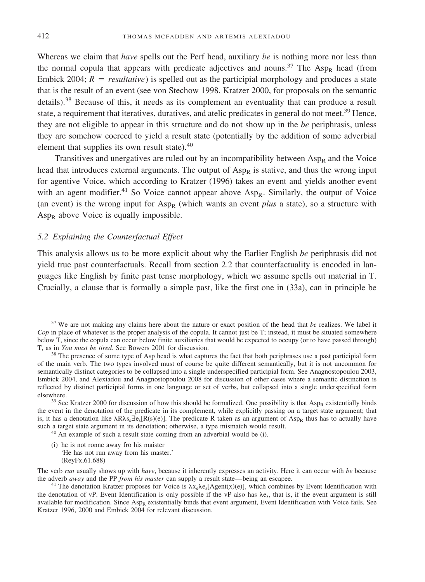Whereas we claim that *have* spells out the Perf head, auxiliary *be* is nothing more nor less than the normal copula that appears with predicate adjectives and nouns.<sup>37</sup> The Asp<sub>R</sub> head (from Embick 2004;  $R =$  *resultative*) is spelled out as the participial morphology and produces a state that is the result of an event (see von Stechow 1998, Kratzer 2000, for proposals on the semantic details).38 Because of this, it needs as its complement an eventuality that can produce a result state, a requirement that iteratives, duratives, and atelic predicates in general do not meet.<sup>39</sup> Hence, they are not eligible to appear in this structure and do not show up in the *be* periphrasis, unless they are somehow coerced to yield a result state (potentially by the addition of some adverbial element that supplies its own result state).<sup>40</sup>

Transitives and unergatives are ruled out by an incompatibility between  $\rm{Asp}_R$  and the Voice head that introduces external arguments. The output of  $\rm Asp_R$  is stative, and thus the wrong input for agentive Voice, which according to Kratzer (1996) takes an event and yields another event with an agent modifier.<sup>41</sup> So Voice cannot appear above  $\rm{Asp}_R$ . Similarly, the output of Voice (an event) is the wrong input for  $\rm{Asp}_R$  (which wants an event *plus* a state), so a structure with  $Asp_R$  above Voice is equally impossible.

## *5.2 Explaining the Counterfactual Effect*

This analysis allows us to be more explicit about why the Earlier English *be* periphrasis did not yield true past counterfactuals. Recall from section 2.2 that counterfactuality is encoded in languages like English by finite past tense morphology, which we assume spells out material in T. Crucially, a clause that is formally a simple past, like the first one in (33a), can in principle be

<sup>37</sup> We are not making any claims here about the nature or exact position of the head that *be* realizes. We label it *Cop* in place of whatever is the proper analysis of the copula. It cannot just be T; instead, it must be situated somewhere below T, since the copula can occur below finite auxiliaries that would be expected to occupy (or to have passed through) T, as in *You must be tired*. See Bowers 2001 for discussion.

<sup>38</sup> The presence of some type of Asp head is what captures the fact that both periphrases use a past participial form of the main verb. The two types involved must of course be quite different semantically, but it is not uncommon for semantically distinct categories to be collapsed into a single underspecified participial form. See Anagnostopoulou 2003, Embick 2004, and Alexiadou and Anagnostopoulou 2008 for discussion of other cases where a semantic distinction is reflected by distinct participial forms in one language or set of verbs, but collapsed into a single underspecified form elsewhere.<br><sup>39</sup> See Kratzer 2000 for discussion of how this should be formalized. One possibility is that Asp<sub>R</sub> existentially binds

the event in the denotation of the predicate in its complement, while explicitly passing on a target state argument; that is, it has a denotation like  $\lambda R\lambda s_s \exists e_s[R(s)(e)]$ . The predicate R taken as an argument of Asp<sub>R</sub> thus has to actually have such a target state argument in its denotation; otherwise, a type mismatch would result.

 $40$  An example of such a result state coming from an adverbial would be (i).

(i) he is not ronne away fro his maister 'He has not run away from his master.' (ReyFx,61.688)

The verb *run* usually shows up with *have*, because it inherently expresses an activity. Here it can occur with *be* because the adverb *away* and the PP *from his master* can supply a result state—being an escapee.

<sup>41</sup> The denotation Kratzer proposes for Voice is  $\lambda x_e \lambda e_s$  [Agent(x)(e)], which combines by Event Identification with the denotation of vP. Event Identification is only possible if the vP also has  $\lambda e_s$ , that is, if the event argument is still available for modification. Since  $\rm{Asp}_R$  existentially binds that event argument, Event Identification with Voice fails. See Kratzer 1996, 2000 and Embick 2004 for relevant discussion.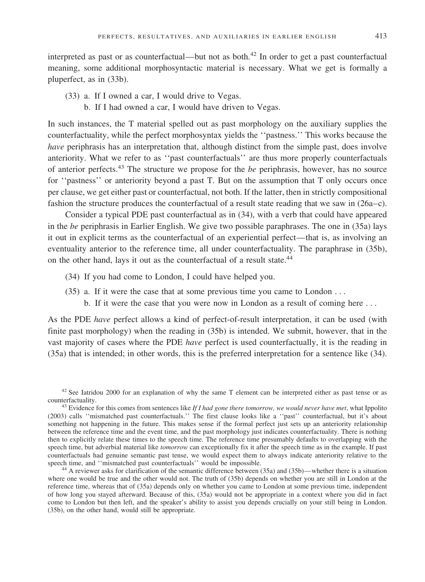interpreted as past or as counterfactual—but not as both.<sup>42</sup> In order to get a past counterfactual meaning, some additional morphosyntactic material is necessary. What we get is formally a pluperfect, as in (33b).

- (33) a. If I owned a car, I would drive to Vegas.
	- b. If I had owned a car, I would have driven to Vegas.

In such instances, the T material spelled out as past morphology on the auxiliary supplies the counterfactuality, while the perfect morphosyntax yields the ''pastness.'' This works because the *have* periphrasis has an interpretation that, although distinct from the simple past, does involve anteriority. What we refer to as ''past counterfactuals'' are thus more properly counterfactuals of anterior perfects.<sup>43</sup> The structure we propose for the *be* periphrasis, however, has no source for ''pastness'' or anteriority beyond a past T. But on the assumption that T only occurs once per clause, we get either past or counterfactual, not both. If the latter, then in strictly compositional fashion the structure produces the counterfactual of a result state reading that we saw in (26a–c).

Consider a typical PDE past counterfactual as in (34), with a verb that could have appeared in the *be* periphrasis in Earlier English. We give two possible paraphrases. The one in (35a) lays it out in explicit terms as the counterfactual of an experiential perfect—that is, as involving an eventuality anterior to the reference time, all under counterfactuality. The paraphrase in (35b), on the other hand, lays it out as the counterfactual of a result state.<sup>44</sup>

- (34) If you had come to London, I could have helped you.
- (35) a. If it were the case that at some previous time you came to London . . .
	- b. If it were the case that you were now in London as a result of coming here . . .

As the PDE *have* perfect allows a kind of perfect-of-result interpretation, it can be used (with finite past morphology) when the reading in (35b) is intended. We submit, however, that in the vast majority of cases where the PDE *have* perfect is used counterfactually, it is the reading in (35a) that is intended; in other words, this is the preferred interpretation for a sentence like (34).

 $42$  See Iatridou 2000 for an explanation of why the same T element can be interpreted either as past tense or as counterfactuality. <sup>43</sup> Evidence for this comes from sentences like *If I had gone there tomorrow, we would never have met*, what Ippolito

<sup>(2003)</sup> calls ''mismatched past counterfactuals.'' The first clause looks like a ''past'' counterfactual, but it's about something not happening in the future. This makes sense if the formal perfect just sets up an anteriority relationship between the reference time and the event time, and the past morphology just indicates counterfactuality. There is nothing then to explicitly relate these times to the speech time. The reference time presumably defaults to overlapping with the speech time, but adverbial material like *tomorrow* can exceptionally fix it after the speech time as in the example. If past counterfactuals had genuine semantic past tense, we would expect them to always indicate anteriority relative to the

 $44$  A reviewer asks for clarification of the semantic difference between (35a) and (35b)—whether there is a situation where one would be true and the other would not. The truth of (35b) depends on whether you are still in London at the reference time, whereas that of (35a) depends only on whether you came to London at some previous time, independent of how long you stayed afterward. Because of this, (35a) would not be appropriate in a context where you did in fact come to London but then left, and the speaker's ability to assist you depends crucially on your still being in London. (35b), on the other hand, would still be appropriate.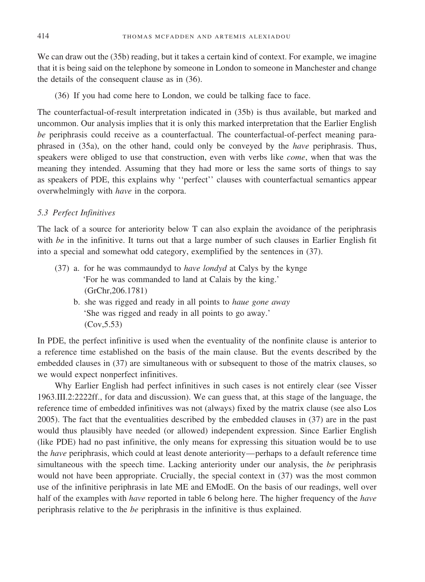We can draw out the (35b) reading, but it takes a certain kind of context. For example, we imagine that it is being said on the telephone by someone in London to someone in Manchester and change the details of the consequent clause as in (36).

(36) If you had come here to London, we could be talking face to face.

The counterfactual-of-result interpretation indicated in (35b) is thus available, but marked and uncommon. Our analysis implies that it is only this marked interpretation that the Earlier English *be* periphrasis could receive as a counterfactual. The counterfactual-of-perfect meaning paraphrased in (35a), on the other hand, could only be conveyed by the *have* periphrasis. Thus, speakers were obliged to use that construction, even with verbs like *come*, when that was the meaning they intended. Assuming that they had more or less the same sorts of things to say as speakers of PDE, this explains why ''perfect'' clauses with counterfactual semantics appear overwhelmingly with *have* in the corpora.

## *5.3 Perfect Infinitives*

The lack of a source for anteriority below T can also explain the avoidance of the periphrasis with *be* in the infinitive. It turns out that a large number of such clauses in Earlier English fit into a special and somewhat odd category, exemplified by the sentences in (37).

- (37) a. for he was commaundyd to *have londyd* at Calys by the kynge 'For he was commanded to land at Calais by the king.' (GrChr,206.1781)
	- b. she was rigged and ready in all points to *haue gone away* 'She was rigged and ready in all points to go away.' (Cov,5.53)

In PDE, the perfect infinitive is used when the eventuality of the nonfinite clause is anterior to a reference time established on the basis of the main clause. But the events described by the embedded clauses in (37) are simultaneous with or subsequent to those of the matrix clauses, so we would expect nonperfect infinitives.

Why Earlier English had perfect infinitives in such cases is not entirely clear (see Visser 1963.III.2:2222ff., for data and discussion). We can guess that, at this stage of the language, the reference time of embedded infinitives was not (always) fixed by the matrix clause (see also Los 2005). The fact that the eventualities described by the embedded clauses in (37) are in the past would thus plausibly have needed (or allowed) independent expression. Since Earlier English (like PDE) had no past infinitive, the only means for expressing this situation would be to use the *have* periphrasis, which could at least denote anteriority—perhaps to a default reference time simultaneous with the speech time. Lacking anteriority under our analysis, the *be* periphrasis would not have been appropriate. Crucially, the special context in (37) was the most common use of the infinitive periphrasis in late ME and EModE. On the basis of our readings, well over half of the examples with *have* reported in table 6 belong here. The higher frequency of the *have* periphrasis relative to the *be* periphrasis in the infinitive is thus explained.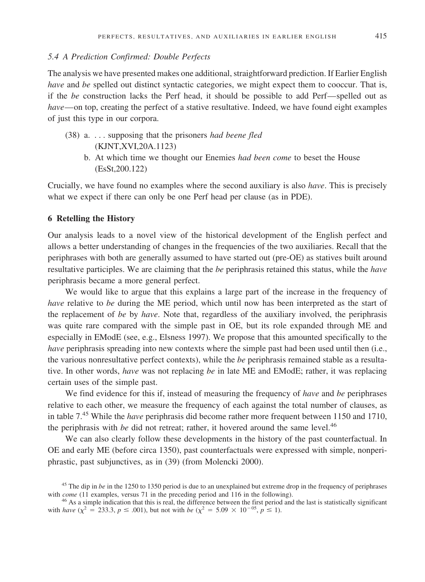## *5.4 A Prediction Confirmed: Double Perfects*

The analysis we have presented makes one additional, straightforward prediction. If Earlier English *have* and *be* spelled out distinct syntactic categories, we might expect them to cooccur. That is, if the *be* construction lacks the Perf head, it should be possible to add Perf—spelled out as *have*—on top, creating the perfect of a stative resultative. Indeed, we have found eight examples of just this type in our corpora.

- (38) a. . . . supposing that the prisoners *had beene fled* (KJNT,XVI,20A.1123)
	- b. At which time we thought our Enemies *had been come* to beset the House (EsSt,200.122)

Crucially, we have found no examples where the second auxiliary is also *have*. This is precisely what we expect if there can only be one Perf head per clause (as in PDE).

#### **6 Retelling the History**

Our analysis leads to a novel view of the historical development of the English perfect and allows a better understanding of changes in the frequencies of the two auxiliaries. Recall that the periphrases with both are generally assumed to have started out (pre-OE) as statives built around resultative participles. We are claiming that the *be* periphrasis retained this status, while the *have* periphrasis became a more general perfect.

We would like to argue that this explains a large part of the increase in the frequency of *have* relative to *be* during the ME period, which until now has been interpreted as the start of the replacement of *be* by *have*. Note that, regardless of the auxiliary involved, the periphrasis was quite rare compared with the simple past in OE, but its role expanded through ME and especially in EModE (see, e.g., Elsness 1997). We propose that this amounted specifically to the *have* periphrasis spreading into new contexts where the simple past had been used until then (i.e., the various nonresultative perfect contexts), while the *be* periphrasis remained stable as a resultative. In other words, *have* was not replacing *be* in late ME and EModE; rather, it was replacing certain uses of the simple past.

We find evidence for this if, instead of measuring the frequency of *have* and *be* periphrases relative to each other, we measure the frequency of each against the total number of clauses, as in table 7.<sup>45</sup> While the *have* periphrasis did become rather more frequent between 1150 and 1710, the periphrasis with *be* did not retreat; rather, it hovered around the same level.<sup>46</sup>

We can also clearly follow these developments in the history of the past counterfactual. In OE and early ME (before circa 1350), past counterfactuals were expressed with simple, nonperiphrastic, past subjunctives, as in (39) (from Molencki 2000).

<sup>&</sup>lt;sup>45</sup> The dip in *be* in the 1250 to 1350 period is due to an unexplained but extreme drop in the frequency of periphrases with *come* (11 examples, versus 71 in the preceding period and 116 in the following).

<sup>&</sup>lt;sup>46</sup> As a simple indication that this is real, the difference between the first period and the last is statistically significant with *have* ( $\chi^2 = 233.3$ ,  $p \le 0.001$ ), but not with *be* ( $\chi^2 = 5.09 \times 10^{-05}$ ,  $p \le 1$ ).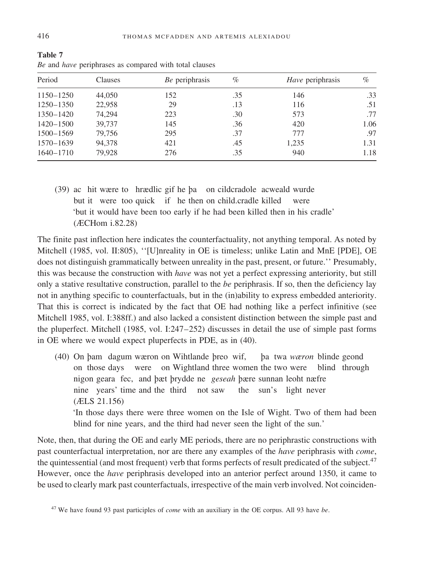| Period        | Clauses | <i>Be</i> periphrasis | $\%$ | <i>Have</i> periphrasis | $\%$ |
|---------------|---------|-----------------------|------|-------------------------|------|
| 1150-1250     | 44,050  | 152                   | .35  | 146                     | .33  |
| $1250 - 1350$ | 22,958  | 29                    | .13  | 116                     | .51  |
| 1350-1420     | 74.294  | 223                   | .30  | 573                     | .77  |
| 1420-1500     | 39,737  | 145                   | .36  | 420                     | 1.06 |
| 1500-1569     | 79,756  | 295                   | .37  | 777                     | .97  |
| 1570-1639     | 94.378  | 421                   | .45  | 1,235                   | 1.31 |
| $1640 - 1710$ | 79.928  | 276                   | .35  | 940                     | 1.18 |
|               |         |                       |      |                         |      |

**Table 7** *Be* and *have* periphrases as compared with total clauses

 $(39)$  ac hit wære to hrædlic gif he  $\alpha$  on cildcradole acweald wurde but it were too quick if he then on child.cradle killed were 'but it would have been too early if he had been killed then in his cradle' (ÆCHom i.82.28)

The finite past inflection here indicates the counterfactuality, not anything temporal. As noted by Mitchell (1985, vol. II:805), ''[U]nreality in OE is timeless; unlike Latin and MnE [PDE], OE does not distinguish grammatically between unreality in the past, present, or future.'' Presumably, this was because the construction with *have* was not yet a perfect expressing anteriority, but still only a stative resultative construction, parallel to the *be* periphrasis. If so, then the deficiency lay not in anything specific to counterfactuals, but in the (in)ability to express embedded anteriority. That this is correct is indicated by the fact that OE had nothing like a perfect infinitive (see Mitchell 1985, vol. I:388ff.) and also lacked a consistent distinction between the simple past and the pluperfect. Mitchell (1985, vol. I:247–252) discusses in detail the use of simple past forms in OE where we would expect pluperfects in PDE, as in (40).

(40) On Èam dagum w+ron on Wihtlande Èreo wif, Èa twa *wæron* blinde geond on those days were on Wightland three women the two were blind through nigon geara fec, and bæt brydde ne *geseah* bære sunnan leoht næfre nine years' time and the third not saw the sun's light never (ÆLS 21.156) 'In those days there were three women on the Isle of Wight. Two of them had been blind for nine years, and the third had never seen the light of the sun.'

Note, then, that during the OE and early ME periods, there are no periphrastic constructions with past counterfactual interpretation, nor are there any examples of the *have* periphrasis with *come*, the quintessential (and most frequent) verb that forms perfects of result predicated of the subject.<sup>47</sup> However, once the *have* periphrasis developed into an anterior perfect around 1350, it came to be used to clearly mark past counterfactuals, irrespective of the main verb involved. Not coinciden-

<sup>47</sup> We have found 93 past participles of *come* with an auxiliary in the OE corpus. All 93 have *be*.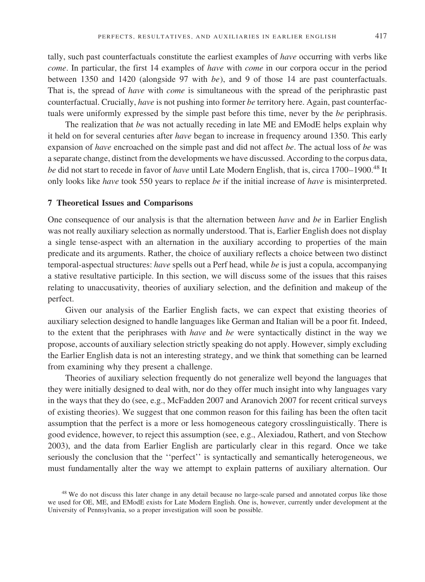tally, such past counterfactuals constitute the earliest examples of *have* occurring with verbs like *come*. In particular, the first 14 examples of *have* with *come* in our corpora occur in the period between 1350 and 1420 (alongside 97 with *be*), and 9 of those 14 are past counterfactuals. That is, the spread of *have* with *come* is simultaneous with the spread of the periphrastic past counterfactual. Crucially, *have* is not pushing into former *be* territory here. Again, past counterfactuals were uniformly expressed by the simple past before this time, never by the *be* periphrasis.

The realization that *be* was not actually receding in late ME and EModE helps explain why it held on for several centuries after *have* began to increase in frequency around 1350. This early expansion of *have* encroached on the simple past and did not affect *be*. The actual loss of *be* was a separate change, distinct from the developments we have discussed. According to the corpus data, *be* did not start to recede in favor of *have* until Late Modern English, that is, circa 1700–1900.<sup>48</sup> It only looks like *have* took 550 years to replace *be* if the initial increase of *have* is misinterpreted.

## **7 Theoretical Issues and Comparisons**

One consequence of our analysis is that the alternation between *have* and *be* in Earlier English was not really auxiliary selection as normally understood. That is, Earlier English does not display a single tense-aspect with an alternation in the auxiliary according to properties of the main predicate and its arguments. Rather, the choice of auxiliary reflects a choice between two distinct temporal-aspectual structures: *have* spells out a Perf head, while *be* is just a copula, accompanying a stative resultative participle. In this section, we will discuss some of the issues that this raises relating to unaccusativity, theories of auxiliary selection, and the definition and makeup of the perfect.

Given our analysis of the Earlier English facts, we can expect that existing theories of auxiliary selection designed to handle languages like German and Italian will be a poor fit. Indeed, to the extent that the periphrases with *have* and *be* were syntactically distinct in the way we propose, accounts of auxiliary selection strictly speaking do not apply. However, simply excluding the Earlier English data is not an interesting strategy, and we think that something can be learned from examining why they present a challenge.

Theories of auxiliary selection frequently do not generalize well beyond the languages that they were initially designed to deal with, nor do they offer much insight into why languages vary in the ways that they do (see, e.g., McFadden 2007 and Aranovich 2007 for recent critical surveys of existing theories). We suggest that one common reason for this failing has been the often tacit assumption that the perfect is a more or less homogeneous category crosslinguistically. There is good evidence, however, to reject this assumption (see, e.g., Alexiadou, Rathert, and von Stechow 2003), and the data from Earlier English are particularly clear in this regard. Once we take seriously the conclusion that the ''perfect'' is syntactically and semantically heterogeneous, we must fundamentally alter the way we attempt to explain patterns of auxiliary alternation. Our

<sup>&</sup>lt;sup>48</sup> We do not discuss this later change in any detail because no large-scale parsed and annotated corpus like those we used for OE, ME, and EModE exists for Late Modern English. One is, however, currently under development at the University of Pennsylvania, so a proper investigation will soon be possible.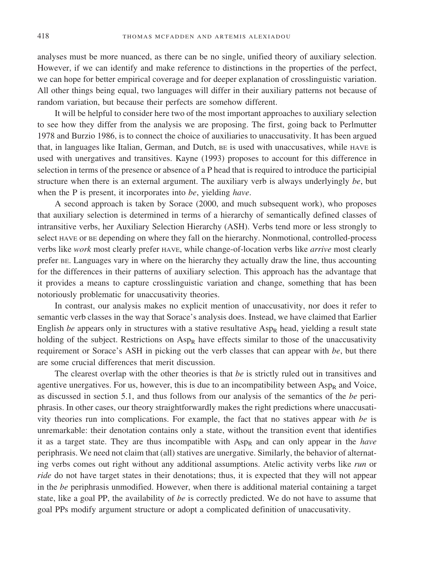analyses must be more nuanced, as there can be no single, unified theory of auxiliary selection. However, if we can identify and make reference to distinctions in the properties of the perfect, we can hope for better empirical coverage and for deeper explanation of crosslinguistic variation. All other things being equal, two languages will differ in their auxiliary patterns not because of random variation, but because their perfects are somehow different.

It will be helpful to consider here two of the most important approaches to auxiliary selection to see how they differ from the analysis we are proposing. The first, going back to Perlmutter 1978 and Burzio 1986, is to connect the choice of auxiliaries to unaccusativity. It has been argued that, in languages like Italian, German, and Dutch, BE is used with unaccusatives, while HAVE is used with unergatives and transitives. Kayne (1993) proposes to account for this difference in selection in terms of the presence or absence of a P head that is required to introduce the participial structure when there is an external argument. The auxiliary verb is always underlyingly *be*, but when the P is present, it incorporates into *be*, yielding *have*.

A second approach is taken by Sorace (2000, and much subsequent work), who proposes that auxiliary selection is determined in terms of a hierarchy of semantically defined classes of intransitive verbs, her Auxiliary Selection Hierarchy (ASH). Verbs tend more or less strongly to select HAVE or BE depending on where they fall on the hierarchy. Nonmotional, controlled-process verbs like *work* most clearly prefer HAVE, while change-of-location verbs like *arrive* most clearly prefer BE. Languages vary in where on the hierarchy they actually draw the line, thus accounting for the differences in their patterns of auxiliary selection. This approach has the advantage that it provides a means to capture crosslinguistic variation and change, something that has been notoriously problematic for unaccusativity theories.

In contrast, our analysis makes no explicit mention of unaccusativity, nor does it refer to semantic verb classes in the way that Sorace's analysis does. Instead, we have claimed that Earlier English *be* appears only in structures with a stative resultative  $\rm{Asp}_R$  head, yielding a result state holding of the subject. Restrictions on  $Asp<sub>R</sub>$  have effects similar to those of the unaccusativity requirement or Sorace's ASH in picking out the verb classes that can appear with *be*, but there are some crucial differences that merit discussion.

The clearest overlap with the other theories is that *be* is strictly ruled out in transitives and agentive unergatives. For us, however, this is due to an incompatibility between  $\rm Asp_R$  and Voice, as discussed in section 5.1, and thus follows from our analysis of the semantics of the *be* periphrasis. In other cases, our theory straightforwardly makes the right predictions where unaccusativity theories run into complications. For example, the fact that no statives appear with *be* is unremarkable: their denotation contains only a state, without the transition event that identifies it as a target state. They are thus incompatible with Asp<sub>R</sub> and can only appear in the *have* periphrasis. We need not claim that (all) statives are unergative. Similarly, the behavior of alternating verbs comes out right without any additional assumptions. Atelic activity verbs like *run* or *ride* do not have target states in their denotations; thus, it is expected that they will not appear in the *be* periphrasis unmodified. However, when there is additional material containing a target state, like a goal PP, the availability of *be* is correctly predicted. We do not have to assume that goal PPs modify argument structure or adopt a complicated definition of unaccusativity.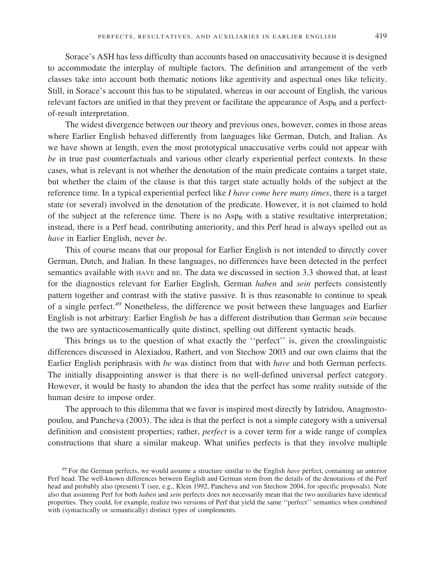Sorace's ASH has less difficulty than accounts based on unaccusativity because it is designed to accommodate the interplay of multiple factors. The definition and arrangement of the verb classes take into account both thematic notions like agentivity and aspectual ones like telicity. Still, in Sorace's account this has to be stipulated, whereas in our account of English, the various relevant factors are unified in that they prevent or facilitate the appearance of Asp<sub>R</sub> and a perfectof-result interpretation.

The widest divergence between our theory and previous ones, however, comes in those areas where Earlier English behaved differently from languages like German, Dutch, and Italian. As we have shown at length, even the most prototypical unaccusative verbs could not appear with *be* in true past counterfactuals and various other clearly experiential perfect contexts. In these cases, what is relevant is not whether the denotation of the main predicate contains a target state, but whether the claim of the clause is that this target state actually holds of the subject at the reference time. In a typical experiential perfect like *I have come here many times*, there is a target state (or several) involved in the denotation of the predicate. However, it is not claimed to hold of the subject at the reference time. There is no  $Asp<sub>R</sub>$  with a stative resultative interpretation; instead, there is a Perf head, contributing anteriority, and this Perf head is always spelled out as *have* in Earlier English, never *be*.

This of course means that our proposal for Earlier English is not intended to directly cover German, Dutch, and Italian. In these languages, no differences have been detected in the perfect semantics available with HAVE and BE. The data we discussed in section 3.3 showed that, at least for the diagnostics relevant for Earlier English, German *haben* and *sein* perfects consistently pattern together and contrast with the stative passive. It is thus reasonable to continue to speak of a single perfect.<sup>49</sup> Nonetheless, the difference we posit between these languages and Earlier English is not arbitrary: Earlier English *be* has a different distribution than German *sein* because the two are syntacticosemantically quite distinct, spelling out different syntactic heads.

This brings us to the question of what exactly the ''perfect'' is, given the crosslinguistic differences discussed in Alexiadou, Rathert, and von Stechow 2003 and our own claims that the Earlier English periphrasis with *be* was distinct from that with *have* and both German perfects. The initially disappointing answer is that there is no well-defined universal perfect category. However, it would be hasty to abandon the idea that the perfect has some reality outside of the human desire to impose order.

The approach to this dilemma that we favor is inspired most directly by Iatridou, Anagnostopoulou, and Pancheva (2003). The idea is that the perfect is not a simple category with a universal definition and consistent properties; rather, *perfect* is a cover term for a wide range of complex constructions that share a similar makeup. What unifies perfects is that they involve multiple

<sup>49</sup> For the German perfects, we would assume a structure similar to the English *have* perfect, containing an anterior Perf head. The well-known differences between English and German stem from the details of the denotations of the Perf head and probably also (present) T (see, e.g., Klein 1992, Pancheva and von Stechow 2004, for specific proposals). Note also that assuming Perf for both *haben* and *sein* perfects does not necessarily mean that the two auxiliaries have identical properties. They could, for example, realize two versions of Perf that yield the same ''perfect'' semantics when combined with (syntactically or semantically) distinct types of complements.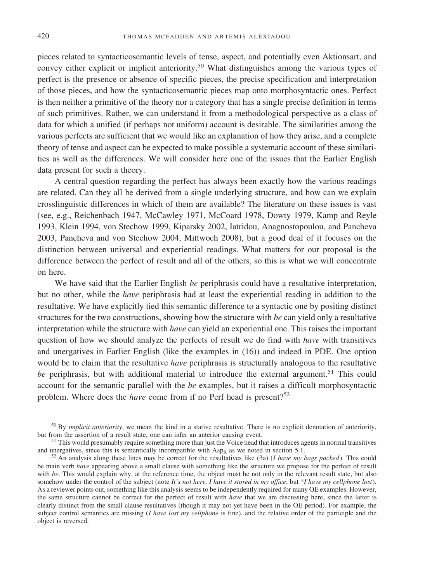pieces related to syntacticosemantic levels of tense, aspect, and potentially even Aktionsart, and convey either explicit or implicit anteriority.<sup>50</sup> What distinguishes among the various types of perfect is the presence or absence of specific pieces, the precise specification and interpretation of those pieces, and how the syntacticosemantic pieces map onto morphosyntactic ones. Perfect is then neither a primitive of the theory nor a category that has a single precise definition in terms of such primitives. Rather, we can understand it from a methodological perspective as a class of data for which a unified (if perhaps not uniform) account is desirable. The similarities among the various perfects are sufficient that we would like an explanation of how they arise, and a complete theory of tense and aspect can be expected to make possible a systematic account of these similarities as well as the differences. We will consider here one of the issues that the Earlier English data present for such a theory.

A central question regarding the perfect has always been exactly how the various readings are related. Can they all be derived from a single underlying structure, and how can we explain crosslinguistic differences in which of them are available? The literature on these issues is vast (see, e.g., Reichenbach 1947, McCawley 1971, McCoard 1978, Dowty 1979, Kamp and Reyle 1993, Klein 1994, von Stechow 1999, Kiparsky 2002, Iatridou, Anagnostopoulou, and Pancheva 2003, Pancheva and von Stechow 2004, Mittwoch 2008), but a good deal of it focuses on the distinction between universal and experiential readings. What matters for our proposal is the difference between the perfect of result and all of the others, so this is what we will concentrate on here.

We have said that the Earlier English *be* periphrasis could have a resultative interpretation, but no other, while the *have* periphrasis had at least the experiential reading in addition to the resultative. We have explicitly tied this semantic difference to a syntactic one by positing distinct structures for the two constructions, showing how the structure with *be* can yield only a resultative interpretation while the structure with *have* can yield an experiential one. This raises the important question of how we should analyze the perfects of result we do find with *have* with transitives and unergatives in Earlier English (like the examples in (16)) and indeed in PDE. One option would be to claim that the resultative *have* periphrasis is structurally analogous to the resultative *be* periphrasis, but with additional material to introduce the external argument.<sup>51</sup> This could account for the semantic parallel with the *be* examples, but it raises a difficult morphosyntactic problem. Where does the *have* come from if no Perf head is present?<sup>52</sup>

<sup>50</sup> By *implicit anteriority*, we mean the kind in a stative resultative. There is no explicit denotation of anteriority, but from the assertion of a result state, one can infer an anterior causing event.

<sup>51</sup> This would presumably require something more than just the Voice head that introduces agents in normal transitives and unergatives, since this is semantically incompatible with Asp<sub>R</sub> as we noted in section 5.1.

 $52$  An analysis along these lines may be correct for the resultatives like (3a) (*I have my bags packed*). This could be main verb *have* appearing above a small clause with something like the structure we propose for the perfect of result with *be*. This would explain why, at the reference time, the object must be not only in the relevant result state, but also somehow under the control of the subject (note *It's not here, I have it stored in my office*, but \**I have my cellphone lost*). As a reviewer points out, something like this analysis seems to be independently required for many OE examples. However, the same structure cannot be correct for the perfect of result with *have* that we are discussing here, since the latter is clearly distinct from the small clause resultatives (though it may not yet have been in the OE period). For example, the subject control semantics are missing (*I have lost my cellphone* is fine), and the relative order of the participle and the object is reversed.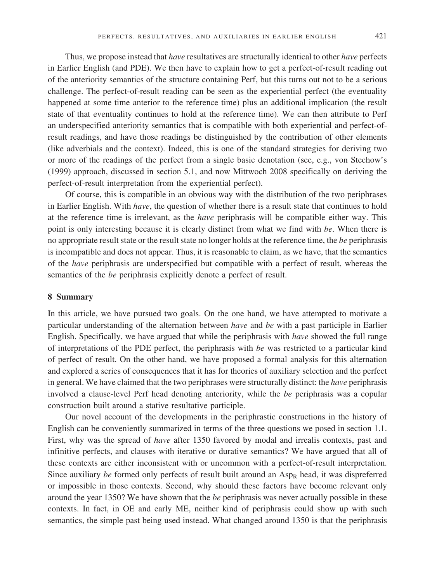Thus, we propose instead that *have* resultatives are structurally identical to other *have* perfects in Earlier English (and PDE). We then have to explain how to get a perfect-of-result reading out of the anteriority semantics of the structure containing Perf, but this turns out not to be a serious challenge. The perfect-of-result reading can be seen as the experiential perfect (the eventuality happened at some time anterior to the reference time) plus an additional implication (the result state of that eventuality continues to hold at the reference time). We can then attribute to Perf an underspecified anteriority semantics that is compatible with both experiential and perfect-ofresult readings, and have those readings be distinguished by the contribution of other elements (like adverbials and the context). Indeed, this is one of the standard strategies for deriving two or more of the readings of the perfect from a single basic denotation (see, e.g., von Stechow's (1999) approach, discussed in section 5.1, and now Mittwoch 2008 specifically on deriving the perfect-of-result interpretation from the experiential perfect).

Of course, this is compatible in an obvious way with the distribution of the two periphrases in Earlier English. With *have*, the question of whether there is a result state that continues to hold at the reference time is irrelevant, as the *have* periphrasis will be compatible either way. This point is only interesting because it is clearly distinct from what we find with *be*. When there is no appropriate result state or the result state no longer holds at the reference time, the *be* periphrasis is incompatible and does not appear. Thus, it is reasonable to claim, as we have, that the semantics of the *have* periphrasis are underspecified but compatible with a perfect of result, whereas the semantics of the *be* periphrasis explicitly denote a perfect of result.

#### **8 Summary**

In this article, we have pursued two goals. On the one hand, we have attempted to motivate a particular understanding of the alternation between *have* and *be* with a past participle in Earlier English. Specifically, we have argued that while the periphrasis with *have* showed the full range of interpretations of the PDE perfect, the periphrasis with *be* was restricted to a particular kind of perfect of result. On the other hand, we have proposed a formal analysis for this alternation and explored a series of consequences that it has for theories of auxiliary selection and the perfect in general. We have claimed that the two periphrases were structurally distinct: the *have* periphrasis involved a clause-level Perf head denoting anteriority, while the *be* periphrasis was a copular construction built around a stative resultative participle.

Our novel account of the developments in the periphrastic constructions in the history of English can be conveniently summarized in terms of the three questions we posed in section 1.1. First, why was the spread of *have* after 1350 favored by modal and irrealis contexts, past and infinitive perfects, and clauses with iterative or durative semantics? We have argued that all of these contexts are either inconsistent with or uncommon with a perfect-of-result interpretation. Since auxiliary *be* formed only perfects of result built around an  $\rm{Asp}_R$  head, it was dispreferred or impossible in those contexts. Second, why should these factors have become relevant only around the year 1350? We have shown that the *be* periphrasis was never actually possible in these contexts. In fact, in OE and early ME, neither kind of periphrasis could show up with such semantics, the simple past being used instead. What changed around 1350 is that the periphrasis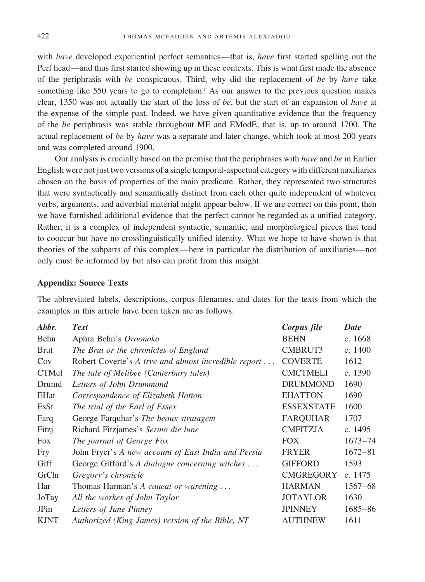with *have* developed experiential perfect semantics—that is, *have* first started spelling out the Perf head—and thus first started showing up in these contexts. This is what first made the absence of the periphrasis with *be* conspicuous. Third, why did the replacement of *be* by *have* take something like 550 years to go to completion? As our answer to the previous question makes clear, 1350 was not actually the start of the loss of *be*, but the start of an expansion of *have* at the expense of the simple past. Indeed, we have given quantitative evidence that the frequency of the *be* periphrasis was stable throughout ME and EModE, that is, up to around 1700. The actual replacement of *be* by *have* was a separate and later change, which took at most 200 years and was completed around 1900.

Our analysis is crucially based on the premise that the periphrases with *have* and *be* in Earlier English were not just two versions of a single temporal-aspectual category with different auxiliaries chosen on the basis of properties of the main predicate. Rather, they represented two structures that were syntactically and semantically distinct from each other quite independent of whatever verbs, arguments, and adverbial material might appear below. If we are correct on this point, then we have furnished additional evidence that the perfect cannot be regarded as a unified category. Rather, it is a complex of independent syntactic, semantic, and morphological pieces that tend to cooccur but have no crosslinguistically unified identity. What we hope to have shown is that theories of the subparts of this complex—here in particular the distribution of auxiliaries—not only must be informed by but also can profit from this insight.

## **Appendix: Source Texts**

The abbreviated labels, descriptions, corpus filenames, and dates for the texts from which the examples in this article have been taken are as follows:

| Abbr.        | <b>Text</b>                                          | Corpus file       | Date        |
|--------------|------------------------------------------------------|-------------------|-------------|
| Behn         | Aphra Behn's Oroonoko                                | <b>BEHN</b>       | c. $1668$   |
| <b>Brut</b>  | The Brut or the chronicles of England                | <b>CMBRUT3</b>    | c. $1400$   |
| Cov          | Robert Coverte's A trve and almost incredible report | <b>COVERTE</b>    | 1612        |
| <b>CTMel</b> | The tale of Melibee (Canterbury tales)               | <b>CMCTMELI</b>   | c. $1390$   |
| Drumd        | Letters of John Drummond                             | <b>DRUMMOND</b>   | 1690        |
| EHat         | Correspondence of Elizabeth Hatton                   | <b>EHATTON</b>    | 1690        |
| EsSt         | The trial of the Earl of Essex                       | <b>ESSEXSTATE</b> | 1600        |
| Farq         | George Farquhar's <i>The beaux stratagem</i>         | <b>FARQUHAR</b>   | 1707        |
| Fitzj        | Richard Fitzjames's Sermo die lune                   | <b>CMFITZJA</b>   | c. 1495     |
| <b>Fox</b>   | The journal of George Fox                            | <b>FOX</b>        | $1673 - 74$ |
| <b>Fry</b>   | John Fryer's A new account of East India and Persia  | <b>FRYER</b>      | $1672 - 81$ |
| Giff         | George Gifford's A dialogue concerning witches       | <b>GIFFORD</b>    | 1593        |
| GrChr        | Gregory's chronicle                                  | <b>CMGREGORY</b>  | c. 1475     |
| Har          | Thomas Harman's A caueat or warening                 | <b>HARMAN</b>     | $1567 - 68$ |
| JoTay        | All the workes of John Taylor                        | <b>JOTAYLOR</b>   | 1630        |
| <b>JPin</b>  | Letters of Jane Pinney                               | <b>JPINNEY</b>    | $1685 - 86$ |
| <b>KJNT</b>  | Authorized (King James) version of the Bible, NT     | <b>AUTHNEW</b>    | 1611        |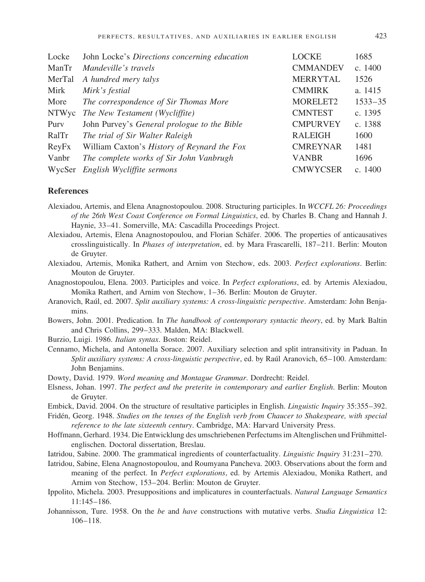| Locke        | John Locke's Directions concerning education | <b>LOCKE</b>         | 1685        |
|--------------|----------------------------------------------|----------------------|-------------|
| ManTr        | Mandeville's travels                         | <b>CMMANDEV</b>      | c. $1400$   |
| MerTal       | A hundred mery talys                         | <b>MERRYTAL</b>      | 1526        |
| Mirk         | Mirk's festial                               | <b>CMMIRK</b>        | a. 1415     |
| More         | The correspondence of Sir Thomas More        | MORELET <sub>2</sub> | $1533 - 35$ |
| <b>NTWyc</b> | The New Testament (Wycliffite)               | <b>CMNTEST</b>       | c. 1395     |
| Pury         | John Purvey's General prologue to the Bible  | <b>CMPURVEY</b>      | c. 1388     |
| RalTr        | The trial of Sir Walter Raleigh              | <b>RALEIGH</b>       | 1600        |
| ReyFx        | William Caxton's History of Reynard the Fox  | <b>CMREYNAR</b>      | 1481        |
| Vanbr        | The complete works of Sir John Vanbrugh      | <b>VANBR</b>         | 1696        |
|              | WycSer English Wycliffite sermons            | <b>CMWYCSER</b>      | c. $1400$   |

## **References**

- Alexiadou, Artemis, and Elena Anagnostopoulou. 2008. Structuring participles. In *WCCFL 26: Proceedings of the 26th West Coast Conference on Formal Linguistics*, ed. by Charles B. Chang and Hannah J. Haynie, 33–41. Somerville, MA: Cascadilla Proceedings Project.
- Alexiadou, Artemis, Elena Anagnostopoulou, and Florian Schäfer. 2006. The properties of anticausatives crosslinguistically. In *Phases of interpretation*, ed. by Mara Frascarelli, 187–211. Berlin: Mouton de Gruyter.
- Alexiadou, Artemis, Monika Rathert, and Arnim von Stechow, eds. 2003. *Perfect explorations*. Berlin: Mouton de Gruyter.
- Anagnostopoulou, Elena. 2003. Participles and voice. In *Perfect explorations*, ed. by Artemis Alexiadou, Monika Rathert, and Arnim von Stechow, 1–36. Berlin: Mouton de Gruyter.
- Aranovich, Rau´l, ed. 2007. *Split auxiliary systems: A cross-linguistic perspective*. Amsterdam: John Benjamins.
- Bowers, John. 2001. Predication. In *The handbook of contemporary syntactic theory*, ed. by Mark Baltin and Chris Collins, 299–333. Malden, MA: Blackwell.
- Burzio, Luigi. 1986. *Italian syntax*. Boston: Reidel.
- Cennamo, Michela, and Antonella Sorace. 2007. Auxiliary selection and split intransitivity in Paduan. In *Split auxiliary systems: A cross-linguistic perspective*, ed. by Raúl Aranovich, 65–100. Amsterdam: John Benjamins.
- Dowty, David. 1979. *Word meaning and Montague Grammar*. Dordrecht: Reidel.
- Elsness, Johan. 1997. *The perfect and the preterite in contemporary and earlier English*. Berlin: Mouton de Gruyter.
- Embick, David. 2004. On the structure of resultative participles in English. *Linguistic Inquiry* 35:355–392.
- Fridén, Georg. 1948. *Studies on the tenses of the English verb from Chaucer to Shakespeare, with special reference to the late sixteenth century*. Cambridge, MA: Harvard University Press.
- Hoffmann, Gerhard. 1934. Die Entwicklung des umschriebenen Perfectums im Altenglischen und Frühmittelenglischen. Doctoral dissertation, Breslau.
- Iatridou, Sabine. 2000. The grammatical ingredients of counterfactuality. *Linguistic Inquiry* 31:231–270.
- Iatridou, Sabine, Elena Anagnostopoulou, and Roumyana Pancheva. 2003. Observations about the form and meaning of the perfect. In *Perfect explorations*, ed. by Artemis Alexiadou, Monika Rathert, and Arnim von Stechow, 153–204. Berlin: Mouton de Gruyter.
- Ippolito, Michela. 2003. Presuppositions and implicatures in counterfactuals. *Natural Language Semantics* 11:145–186.
- Johannisson, Ture. 1958. On the *be* and *have* constructions with mutative verbs. *Studia Linguistica* 12: 106–118.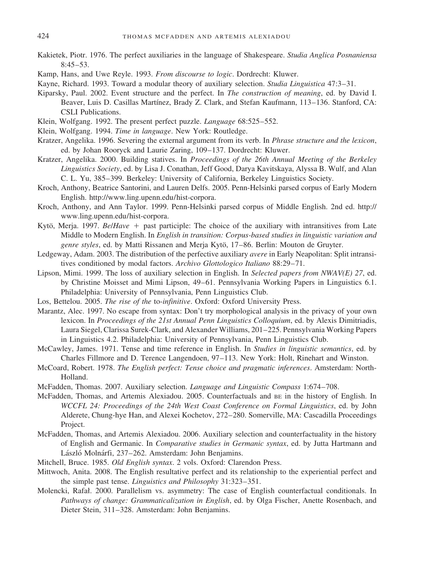- Kakietek, Piotr. 1976. The perfect auxiliaries in the language of Shakespeare. *Studia Anglica Posnaniensa* 8:45–53.
- Kamp, Hans, and Uwe Reyle. 1993. *From discourse to logic*. Dordrecht: Kluwer.
- Kayne, Richard. 1993. Toward a modular theory of auxiliary selection. *Studia Linguistica* 47:3–31.
- Kiparsky, Paul. 2002. Event structure and the perfect. In *The construction of meaning*, ed. by David I. Beaver, Luis D. Casillas Martínez, Brady Z. Clark, and Stefan Kaufmann, 113-136. Stanford, CA: CSLI Publications.
- Klein, Wolfgang. 1992. The present perfect puzzle. *Language* 68:525–552.
- Klein, Wolfgang. 1994. *Time in language*. New York: Routledge.
- Kratzer, Angelika. 1996. Severing the external argument from its verb. In *Phrase structure and the lexicon*, ed. by Johan Rooryck and Laurie Zaring, 109–137. Dordrecht: Kluwer.
- Kratzer, Angelika. 2000. Building statives. In *Proceedings of the 26th Annual Meeting of the Berkeley Linguistics Society*, ed. by Lisa J. Conathan, Jeff Good, Darya Kavitskaya, Alyssa B. Wulf, and Alan C. L. Yu, 385–399. Berkeley: University of California, Berkeley Linguistics Society.
- Kroch, Anthony, Beatrice Santorini, and Lauren Delfs. 2005. Penn-Helsinki parsed corpus of Early Modern English. http://www.ling.upenn.edu/hist-corpora.
- Kroch, Anthony, and Ann Taylor. 1999. Penn-Helsinki parsed corpus of Middle English. 2nd ed. http:// www.ling.upenn.edu/hist-corpora.
- Kytö, Merja. 1997. *BelHave* + past participle: The choice of the auxiliary with intransitives from Late Middle to Modern English. In *English in transition: Corpus-based studies in linguistic variation and* genre styles, ed. by Matti Rissanen and Merja Kytö, 17–86. Berlin: Mouton de Gruyter.
- Ledgeway, Adam. 2003. The distribution of the perfective auxiliary *avere* in Early Neapolitan: Split intransitives conditioned by modal factors. *Archivo Glottologico Italiano* 88:29–71.
- Lipson, Mimi. 1999. The loss of auxiliary selection in English. In *Selected papers from NWAV(E) 27*, ed. by Christine Moisset and Mimi Lipson, 49–61. Pennsylvania Working Papers in Linguistics 6.1. Philadelphia: University of Pennsylvania, Penn Linguistics Club.
- Los, Bettelou. 2005. *The rise of the* to-*infinitive*. Oxford: Oxford University Press.
- Marantz, Alec. 1997. No escape from syntax: Don't try morphological analysis in the privacy of your own lexicon. In *Proceedings of the 21st Annual Penn Linguistics Colloquium*, ed. by Alexis Dimitriadis, Laura Siegel, Clarissa Surek-Clark, and Alexander Williams, 201–225. Pennsylvania Working Papers in Linguistics 4.2. Philadelphia: University of Pennsylvania, Penn Linguistics Club.
- McCawley, James. 1971. Tense and time reference in English. In *Studies in linguistic semantics*, ed. by Charles Fillmore and D. Terence Langendoen, 97–113. New York: Holt, Rinehart and Winston.
- McCoard, Robert. 1978. *The English perfect: Tense choice and pragmatic inferences*. Amsterdam: North-Holland.
- McFadden, Thomas. 2007. Auxiliary selection. *Language and Linguistic Compass* 1:674–708.
- McFadden, Thomas, and Artemis Alexiadou. 2005. Counterfactuals and BE in the history of English. In *WCCFL 24: Proceedings of the 24th West Coast Conference on Formal Linguistics*, ed. by John Alderete, Chung-hye Han, and Alexei Kochetov, 272–280. Somerville, MA: Cascadilla Proceedings Project.
- McFadden, Thomas, and Artemis Alexiadou. 2006. Auxiliary selection and counterfactuality in the history of English and Germanic. In *Comparative studies in Germanic syntax*, ed. by Jutta Hartmann and László Molnárfi, 237–262. Amsterdam: John Benjamins.
- Mitchell, Bruce. 1985. *Old English syntax*. 2 vols. Oxford: Clarendon Press.
- Mittwoch, Anita. 2008. The English resultative perfect and its relationship to the experiential perfect and the simple past tense. *Linguistics and Philosophy* 31:323–351.
- Molencki, Rafał. 2000. Parallelism vs. asymmetry: The case of English counterfactual conditionals. In *Pathways of change: Grammaticalization in English*, ed. by Olga Fischer, Anette Rosenbach, and Dieter Stein, 311–328. Amsterdam: John Benjamins.